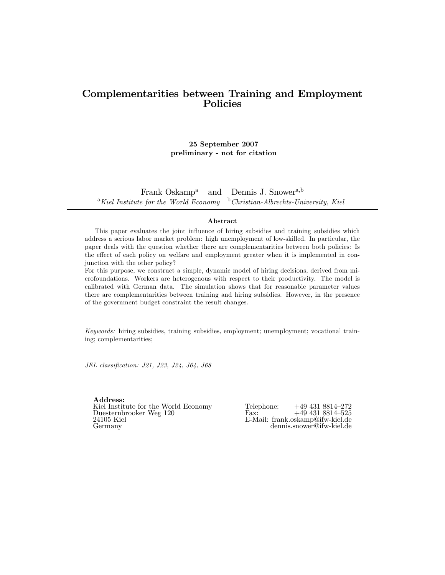# Complementarities between Training and Employment Policies

25 September 2007 preliminary - not for citation

Frank Oskamp<sup>a</sup> and Dennis J. Snower<sup>a,b</sup> <sup>a</sup>Kiel Institute for the World Economy  $\overline{b}$ Christian-Albrechts-University, Kiel

### Abstract

This paper evaluates the joint influence of hiring subsidies and training subsidies which address a serious labor market problem: high unemployment of low-skilled. In particular, the paper deals with the question whether there are complementarities between both policies: Is the effect of each policy on welfare and employment greater when it is implemented in conjunction with the other policy?

For this purpose, we construct a simple, dynamic model of hiring decisions, derived from microfoundations. Workers are heterogenous with respect to their productivity. The model is calibrated with German data. The simulation shows that for reasonable parameter values there are complementarities between training and hiring subsidies. However, in the presence of the government budget constraint the result changes.

Keywords: hiring subsidies, training subsidies, employment; unemployment; vocational training; complementarities;

JEL classification: J21, J23, J24, J64, J68

Address: Kiel Institute for the World Economy Telephone:  $+49\,431\,8814-272$ <br>Duesternbrooker Weg $120$ <br>Fax:  $+49\,431\,8814-525$ Duesternbrooker Weg 120 Fax: +49 431 8814ñ525 24105 Kiel E-Mail: frank.oskamp@ifw-kiel.de

dennis.snower@ifw-kiel.de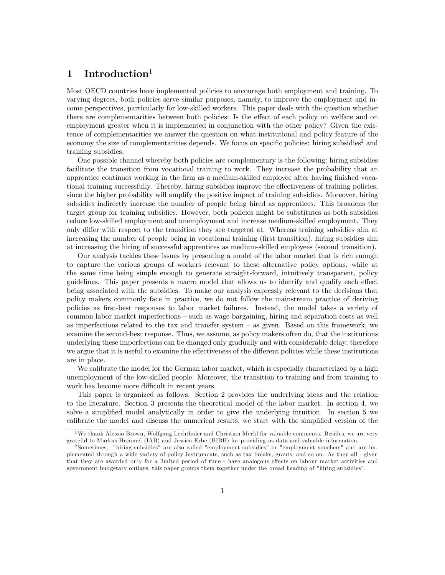# 1 Introduction $1$

Most OECD countries have implemented policies to encourage both employment and training. To varying degrees, both policies serve similar purposes, namely, to improve the employment and income perspectives, particularly for low-skilled workers. This paper deals with the question whether there are complementarities between both policies: Is the effect of each policy on welfare and on employment greater when it is implemented in conjunction with the other policy? Given the existence of complementarities we answer the question on what institutional and policy feature of the economy the size of complementarities depends. We focus on specific policies: hiring subsidies<sup>2</sup> and training subsidies.

One possible channel whereby both policies are complementary is the following: hiring subsidies facilitate the transition from vocational training to work. They increase the probability that an apprentice continues working in the firm as a medium-skilled employee after having finished vocational training successfully. Thereby, hiring subsidies improve the effectiveness of training policies, since the higher probability will amplify the positive impact of training subsidies. Moreover, hiring subsidies indirectly increase the number of people being hired as apprentices. This broadens the target group for training subsidies. However, both policies might be substitutes as both subsidies reduce low-skilled employment and unemployment and increase medium-skilled employment. They only differ with respect to the transition they are targeted at. Whereas training subsidies aim at increasing the number of people being in vocational training (Örst transition), hiring subsidies aim at increasing the hiring of successful apprentices as medium-skilled employees (second transition).

Our analysis tackles these issues by presenting a model of the labor market that is rich enough to capture the various groups of workers relevant to these alternative policy options, while at the same time being simple enough to generate straight-forward, intuitively transparent, policy guidelines. This paper presents a macro model that allows us to identify and qualify each effect being associated with the subsidies. To make our analysis expressly relevant to the decisions that policy makers commonly face in practice, we do not follow the mainstream practice of deriving policies as first-best responses to labor market failures. Instead, the model takes a variety of common labor market imperfections – such as wage bargaining, hiring and separation costs as well as imperfections related to the tax and transfer system  $-$  as given. Based on this framework, we examine the second-best response. Thus, we assume, as policy makers often do, that the institutions underlying these imperfections can be changed only gradually and with considerable delay; therefore we argue that it is useful to examine the effectiveness of the different policies while these institutions are in place.

We calibrate the model for the German labor market, which is especially characterized by a high unemployment of the low-skilled people. Moreover, the transition to training and from training to work has become more difficult in recent years.

This paper is organized as follows. Section 2 provides the underlying ideas and the relation to the literature. Section 3 presents the theoretical model of the labor market. In section 4, we solve a simplified model analytically in order to give the underlying intuition. In section 5 we calibrate the model and discuss the numerical results, we start with the simplified version of the

<sup>&</sup>lt;sup>1</sup>We thank Alessio Brown, Wolfgang Lechthaler and Christian Merkl for valuable comments. Besides, we are very grateful to Markus Hummel (IAB) and Jessica Erbe (BIBB) for providing us data and valuable information.

<sup>2</sup> Sometimes, "hiring subsidies" are also called "employment subsidies" or "employment vouchers" and are implemented through a wide variety of policy instruments, such as tax breaks, grants, and so on. As they all - given that they are awarded only for a limited period of time - have analogous effects on labour market activities and government budgetary outlays, this paper groups them together under the broad heading of "hiring subsidies".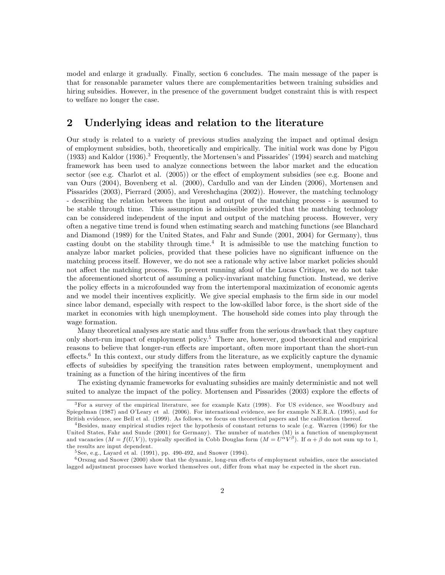model and enlarge it gradually. Finally, section 6 concludes. The main message of the paper is that for reasonable parameter values there are complementarities between training subsidies and hiring subsidies. However, in the presence of the government budget constraint this is with respect to welfare no longer the case.

# 2 Underlying ideas and relation to the literature

Our study is related to a variety of previous studies analyzing the impact and optimal design of employment subsidies, both, theoretically and empirically. The initial work was done by Pigou  $(1933)$  and Kaldor  $(1936).$ <sup>3</sup> Frequently, the Mortensen's and Pissarides'  $(1994)$  search and matching framework has been used to analyze connections between the labor market and the education sector (see e.g. Charlot et al.  $(2005)$ ) or the effect of employment subsidies (see e.g. Boone and van Ours (2004), Bovenberg et al. (2000), Cardullo and van der Linden (2006), Mortensen and Pissarides (2003), Pierrard (2005), and Vereshchagina (2002)). However, the matching technology - describing the relation between the input and output of the matching process - is assumed to be stable through time. This assumption is admissible provided that the matching technology can be considered independent of the input and output of the matching process. However, very often a negative time trend is found when estimating search and matching functions (see Blanchard and Diamond (1989) for the United States, and Fahr and Sunde (2001, 2004) for Germany), thus casting doubt on the stability through time.<sup>4</sup> It is admissible to use the matching function to analyze labor market policies, provided that these policies have no significant influence on the matching process itself. However, we do not see a rationale why active labor market policies should not affect the matching process. To prevent running afoul of the Lucas Critique, we do not take the aforementioned shortcut of assuming a policy-invariant matching function. Instead, we derive the policy effects in a microfounded way from the intertemporal maximization of economic agents and we model their incentives explicitly. We give special emphasis to the firm side in our model since labor demand, especially with respect to the low-skilled labor force, is the short side of the market in economies with high unemployment. The household side comes into play through the wage formation.

Many theoretical analyses are static and thus suffer from the serious drawback that they capture only short-run impact of employment policy.<sup>5</sup> There are, however, good theoretical and empirical reasons to believe that longer-run effects are important, often more important than the short-run  $\text{effects.}^6$  In this context, our study differs from the literature, as we explicitly capture the dynamic effects of subsidies by specifying the transition rates between employment, unemployment and training as a function of the hiring incentives of the Örm

The existing dynamic frameworks for evaluating subsidies are mainly deterministic and not well suited to analyze the impact of the policy. Mortensen and Pissarides (2003) explore the effects of

<sup>3</sup>For a survey of the empirical literature, see for example Katz (1998). For US evidence, see Woodbury and Spiegelman (1987) and O'Leary et al. (2006). For international evidence, see for example N.E.R.A. (1995), and for British evidence, see Bell et al. (1999). As follows, we focus on theoretical papers and the calibration thereof.

<sup>4</sup> Besides, many empirical studies reject the hypothesis of constant returns to scale (e.g. Warren (1996) for the United States, Fahr and Sunde (2001) for Germany). The number of matches (M) is a function of unemployment and vacancies  $(M = f(U, V))$ , typically specified in Cobb Douglas form  $(M = U^{\alpha}V^{\beta})$ . If  $\alpha + \beta$  do not sum up to 1, the results are input dependent.

 ${}^{5}\mathrm{See},$  e.g., Layard et al. (1991), pp. 490-492, and Snower (1994).

 $60rssag$  and Snower (2000) show that the dynamic, long-run effects of employment subsidies, once the associated lagged adjustment processes have worked themselves out, differ from what may be expected in the short run.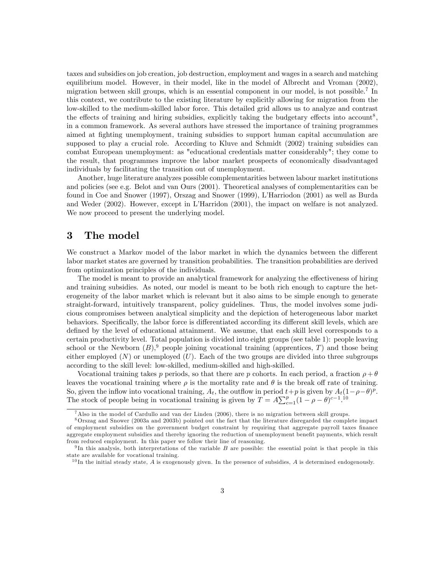taxes and subsidies on job creation, job destruction, employment and wages in a search and matching equilibrium model. However, in their model, like in the model of Albrecht and Vroman (2002), migration between skill groups, which is an essential component in our model, is not possible.<sup>7</sup> In this context, we contribute to the existing literature by explicitly allowing for migration from the low-skilled to the medium-skilled labor force. This detailed grid allows us to analyze and contrast the effects of training and hiring subsidies, explicitly taking the budgetary effects into account<sup>8</sup>, in a common framework. As several authors have stressed the importance of training programmes aimed at fighting unemployment, training subsidies to support human capital accumulation are supposed to play a crucial role. According to Kluve and Schmidt (2002) training subsidies can combat European unemployment: as "educational credentials matter considerably"; they come to the result, that programmes improve the labor market prospects of economically disadvantaged individuals by facilitating the transition out of unemployment.

Another, huge literature analyzes possible complementarities between labour market institutions and policies (see e.g. Belot and van Ours (2001). Theoretical analyses of complementarities can be found in Coe and Snower (1997), Orszag and Snower (1999), LíHarriodon (2001) as well as Burda and Weder (2002). However, except in L'Harridon (2001), the impact on welfare is not analyzed. We now proceed to present the underlying model.

# 3 The model

We construct a Markov model of the labor market in which the dynamics between the different labor market states are governed by transition probabilities. The transition probabilities are derived from optimization principles of the individuals.

The model is meant to provide an analytical framework for analyzing the effectiveness of hiring and training subsidies. As noted, our model is meant to be both rich enough to capture the heterogeneity of the labor market which is relevant but it also aims to be simple enough to generate straight-forward, intuitively transparent, policy guidelines. Thus, the model involves some judicious compromises between analytical simplicity and the depiction of heterogeneous labor market behaviors. Specifically, the labor force is differentiated according its different skill levels, which are defined by the level of educational attainment. We assume, that each skill level corresponds to a certain productivity level. Total population is divided into eight groups (see table 1): people leaving school or the Newborn  $(B)$ , people joining vocational training (apprentices, T) and those being either employed  $(N)$  or unemployed  $(U)$ . Each of the two groups are divided into three subgroups according to the skill level: low-skilled, medium-skilled and high-skilled.

Vocational training takes p periods, so that there are p cohorts. In each period, a fraction  $\rho + \theta$ leaves the vocational training where  $\rho$  is the mortality rate and  $\theta$  is the break off rate of training. So, given the inflow into vocational training,  $A_t$ , the outflow in period  $t + p$  is given by  $A_t(1 - \rho - \theta)^p$ . The stock of people being in vocational training is given by  $T = A \sum_{c=1}^{p} (1 - \rho - \theta)^{c-1}$ .<sup>10</sup>

<sup>&</sup>lt;sup>7</sup>Also in the model of Cardullo and van der Linden (2006), there is no migration between skill groups.

<sup>8</sup>Orszag and Snower (2003a and 2003b) pointed out the fact that the literature disregarded the complete impact of employment subsidies on the government budget constraint by requiring that aggregate payroll taxes finance aggregate employment subsidies and thereby ignoring the reduction of unemployment benefit payments, which result from reduced employment. In this paper we follow their line of reasoning.

 $^{9}$ In this analysis, both interpretations of the variable B are possible: the essential point is that people in this state are available for vocational training.

 $10$  In the initial steady state, A is exogenously given. In the presence of subsidies, A is determined endogenously.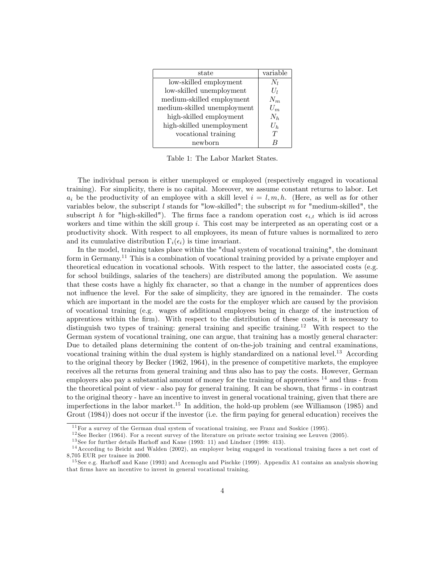| state                       | variable |
|-----------------------------|----------|
| low-skilled employment      | $N_I$    |
| low-skilled unemployment    | $U_I$    |
| medium-skilled employment   | $N_m$    |
| medium-skilled unemployment | $U_m$    |
| high-skilled employment     | $N_h$    |
| high-skilled unemployment   | $U_h$    |
| vocational training         | T        |
| newborn                     |          |

Table 1: The Labor Market States.

The individual person is either unemployed or employed (respectively engaged in vocational training). For simplicity, there is no capital. Moreover, we assume constant returns to labor. Let  $a_i$  be the productivity of an employee with a skill level  $i = l, m, h$ . (Here, as well as for other variables below, the subscript  $l$  stands for "low-skilled"; the subscript  $m$  for "medium-skilled", the subscript h for "high-skilled"). The firms face a random operation cost  $\epsilon_{i,t}$  which is iid across workers and time within the skill group i. This cost may be interpreted as an operating cost or a productivity shock. With respect to all employees, its mean of future values is normalized to zero and its cumulative distribution  $\Gamma_i(\epsilon_i)$  is time invariant.

In the model, training takes place within the "dual system of vocational training", the dominant form in Germany.<sup>11</sup> This is a combination of vocational training provided by a private employer and theoretical education in vocational schools. With respect to the latter, the associated costs (e.g. for school buildings, salaries of the teachers) are distributed among the population. We assume that these costs have a highly fix character, so that a change in the number of apprentices does not influence the level. For the sake of simplicity, they are ignored in the remainder. The costs which are important in the model are the costs for the employer which are caused by the provision of vocational training (e.g. wages of additional employees being in charge of the instruction of apprentices within the firm). With respect to the distribution of these costs, it is necessary to distinguish two types of training: general training and specific training.<sup>12</sup> With respect to the German system of vocational training, one can argue, that training has a mostly general character: Due to detailed plans determining the content of on-the-job training and central examinations, vocational training within the dual system is highly standardized on a national level.<sup>13</sup> According to the original theory by Becker (1962, 1964), in the presence of competitive markets, the employee receives all the returns from general training and thus also has to pay the costs. However, German employers also pay a substantial amount of money for the training of apprentices  $^{14}$  and thus - from the theoretical point of view - also pay for general training. It can be shown, that firms - in contrast to the original theory - have an incentive to invest in general vocational training, given that there are imperfections in the labor market.<sup>15</sup> In addition, the hold-up problem (see Williamson  $(1985)$ ) and Grout (1984)) does not occur if the investor (i.e. the firm paying for general education) receives the

 $11$  For a survey of the German dual system of vocational training, see Franz and Soskice (1995).

 $12$  See Becker (1964). For a recent survey of the literature on private sector training see Leuven (2005).

 $13$  See for further details Harhoff and Kane (1993: 11) and Lindner (1998: 413).

<sup>&</sup>lt;sup>14</sup> According to Beicht and Walden (2002), an employer being engaged in vocational training faces a net cost of 8,705 EUR per trainee in 2000.

<sup>&</sup>lt;sup>15</sup> See e.g. Harhoff and Kane (1993) and Acemoglu and Pischke (1999). Appendix A1 contains an analysis showing that firms have an incentive to invest in general vocational training.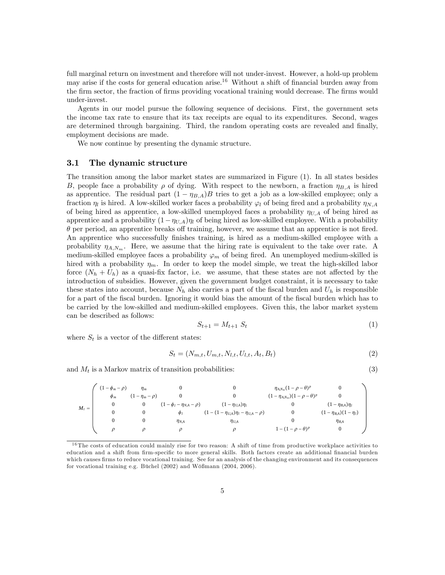full marginal return on investment and therefore will not under-invest. However, a hold-up problem may arise if the costs for general education arise.<sup>16</sup> Without a shift of financial burden away from the firm sector, the fraction of firms providing vocational training would decrease. The firms would under-invest.

Agents in our model pursue the following sequence of decisions. First, the government sets the income tax rate to ensure that its tax receipts are equal to its expenditures. Second, wages are determined through bargaining. Third, the random operating costs are revealed and finally, employment decisions are made.

We now continue by presenting the dynamic structure.

## 3.1 The dynamic structure

The transition among the labor market states are summarized in Figure (1). In all states besides B, people face a probability  $\rho$  of dying. With respect to the newborn, a fraction  $\eta_{B,A}$  is hired as apprentice. The residual part  $(1 - \eta_{B,A})B$  tries to get a job as a low-skilled employee; only a fraction  $\eta_l$  is hired. A low-skilled worker faces a probability  $\varphi_l$  of being fired and a probability  $\eta_{N,A}$ of being hired as apprentice, a low-skilled unemployed faces a probability  $\eta_{U,A}$  of being hired as apprentice and a probability  $(1-\eta_{U,A})\eta_l$  of being hired as low-skilled employee. With a probability  $\theta$  per period, an apprentice breaks off training, however, we assume that an apprentice is not fired. An apprentice who successfully finishes training, is hired as a medium-skilled employee with a probability  $\eta_{A,N_m}$ . Here, we assume that the hiring rate is equivalent to the take over rate. A medium-skilled employee faces a probability  $\varphi_m$  of being fired. An unemployed medium-skilled is hired with a probability  $\eta_m$ . In order to keep the model simple, we treat the high-skilled labor force  $(N_h + U_h)$  as a quasi-fix factor, i.e. we assume, that these states are not affected by the introduction of subsidies. However, given the government budget constraint, it is necessary to take these states into account, because  $N_h$  also carries a part of the fiscal burden and  $U_h$  is responsible for a part of the fiscal burden. Ignoring it would bias the amount of the fiscal burden which has to be carried by the low-skilled and medium-skilled employees. Given this, the labor market system can be described as follows:

$$
S_{t+1} = M_{t+1} S_t \tag{1}
$$

where  $S_t$  is a vector of the different states:

$$
S_t = (N_{m,t}, U_{m,t}, N_{l,t}, U_{l,t}, A_t, B_t)
$$
\n<sup>(2)</sup>

and  $M_t$  is a Markov matrix of transition probabilities: (3)

|         | $(1-\phi_m-\rho)$ | $\eta_m$              |                                   |                                                    | $\eta_{A,N_m}(1-\rho-\theta)^p$           |                               |
|---------|-------------------|-----------------------|-----------------------------------|----------------------------------------------------|-------------------------------------------|-------------------------------|
|         | $\phi_m$          | $(1 - \eta_m - \rho)$ |                                   |                                                    | $(1 - \eta_{A,N_m})(1 - \rho - \theta)^p$ |                               |
| $M_t =$ | 0                 | 0                     | $(1 - \phi_l - \eta_{NA} - \rho)$ | $(1 - \eta_{UA})\eta_l$                            |                                           | $(1-\eta_{BA})\eta_l$         |
|         |                   |                       | $\phi$ <sub>l</sub>               | $(1 - (1 - \eta_{U,A})\eta_l - \eta_{U,A} - \rho)$ |                                           | $(1 - \eta_{BA})(1 - \eta_l)$ |
|         |                   |                       | $\eta_{NA}$                       | $\eta_{UA}$                                        |                                           | $\eta_{BA}$                   |
|         |                   |                       |                                   |                                                    | $1-(1-\rho-\theta)^p$                     |                               |

<sup>&</sup>lt;sup>16</sup> The costs of education could mainly rise for two reason: A shift of time from productive workplace activities to education and a shift from firm-specific to more general skills. Both factors create an additional financial burden which causes firms to reduce vocational training. See for an analysis of the changing environment and its consequences for vocational training e.g. Büchel (2002) and Wößmann (2004, 2006).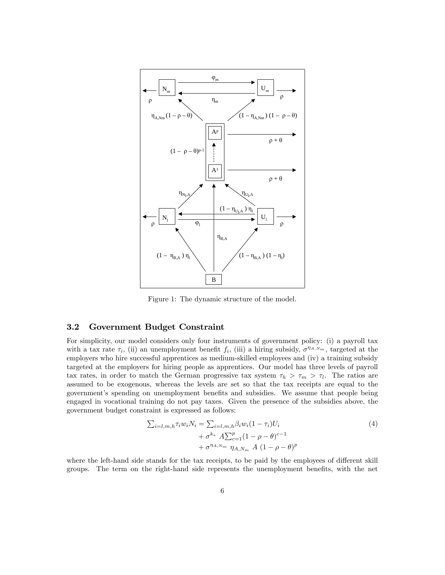

Figure 1: The dynamic structure of the model.

# 3.2 Government Budget Constraint

For simplicity, our model considers only four instruments of government policy: (i) a payroll tax with a tax rate  $\tau_i$ , (ii) an unemployment benefit  $f_i$ , (iii) a hiring subsidy,  $\sigma^{\eta_{A,N_m}}$ , targeted at the employers who hire successful apprentices as medium-skilled employees and (iv) a training subsidy targeted at the employers for hiring people as apprentices. Our model has three levels of payroll tax rates, in order to match the German progressive tax system  $\tau_h > \tau_m > \tau_l$ . The ratios are assumed to be exogenous, whereas the levels are set so that the tax receipts are equal to the government's spending on unemployment benefits and subsidies. We assume that people being engaged in vocational training do not pay taxes. Given the presence of the subsidies above, the government budget constraint is expressed as follows:

$$
\sum_{i=l,m,h} \tau_i w_i N_i = \sum_{i=l,m,h} \beta_i w_i (1-\tau_i) U_i + \sigma^{k_v} A \sum_{c=1}^p (1-\rho-\theta)^{c-1} + \sigma^{\eta_{A,N_m}} \eta_{A,N_m} A (1-\rho-\theta)^p
$$
\n(4)

where the left-hand side stands for the tax receipts, to be paid by the employees of different skill groups. The term on the right-hand side represents the unemployment benefits, with the net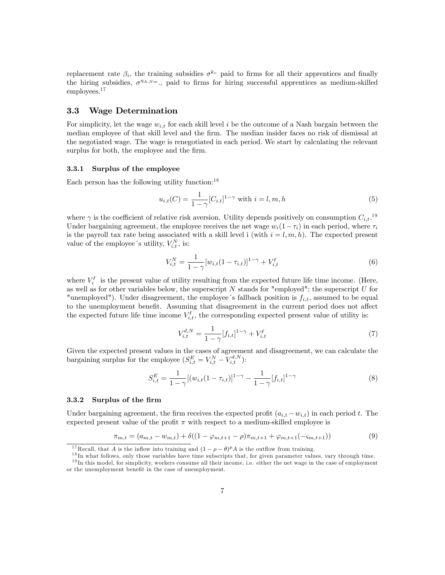replacement rate  $\beta_i$ , the training subsidies  $\sigma^{k_v}$  paid to firms for all their apprentices and finally the hiring subsidies,  $\sigma^{\eta_{A,Nm}}$ , paid to firms for hiring successful apprentices as medium-skilled employees.<sup>17</sup>

## 3.3 Wage Determination

For simplicity, let the wage  $w_{i,t}$  for each skill level i be the outcome of a Nash bargain between the median employee of that skill level and the firm. The median insider faces no risk of dismissal at the negotiated wage. The wage is renegotiated in each period. We start by calculating the relevant surplus for both, the employee and the firm.

#### 3.3.1 Surplus of the employee

Each person has the following utility function: $^{18}$ 

$$
u_{i,t}(C) = \frac{1}{1 - \gamma} [C_{i,t}]^{1 - \gamma} \text{ with } i = l, m, h
$$
 (5)

where  $\gamma$  is the coefficient of relative risk aversion. Utility depends positively on consumption  $C_{i,t}$ .<sup>19</sup> Under bargaining agreement, the employee receives the net wage  $w_i(1-\tau_i)$  in each period, where  $\tau_i$ is the payroll tax rate being associated with a skill level i (with  $i = l, m, h$ ). The expected present value of the employee's utility,  $V_{i,t}^{N}$ , is:

$$
V_{i,t}^{N} = \frac{1}{1 - \gamma} [w_{i,t} (1 - \tau_{i,t})]^{1 - \gamma} + V_{i,t}^{F}
$$
\n(6)

where  $V_i^F$  is the present value of utility resulting from the expected future life time income. (Here, as well as for other variables below, the superscript  $N$  stands for "employed"; the superscript  $U$  for "unemployed"). Under disagreement, the employee's fallback position is  $f_{i,t}$ , assumed to be equal to the unemployment benefit. Assuming that disagreement in the current period does not affect the expected future life time income  $V_{i,t}^F$ , the corresponding expected present value of utility is:

$$
V_{i,t}^{d,N} = \frac{1}{1-\gamma} [f_{i,t}]^{1-\gamma} + V_{i,t}^F
$$
\n(7)

Given the expected present values in the cases of agreement and disagreement, we can calculate the bargaining surplus for the employee  $(S_{i,t}^E = V_{i,t}^N - V_{i,t}^{d,N})$ :

$$
S_{i,t}^{E} = \frac{1}{1 - \gamma} [(w_{i,t}(1 - \tau_{i,t})]^{1 - \gamma} - \frac{1}{1 - \gamma} [f_{i,t}]^{1 - \gamma}
$$
\n(8)

## 3.3.2 Surplus of the Örm

Under bargaining agreement, the firm receives the expected profit  $(a_{i,t} - w_{i,t})$  in each period t. The expected present value of the profit  $\pi$  with respect to a medium-skilled employee is

$$
\pi_{m,t} = (a_{m,t} - w_{m,t}) + \delta((1 - \varphi_{m,t+1} - \rho)\pi_{m,t+1} + \varphi_{m,t+1}(-\varsigma_{m,t+1}))
$$
\n(9)

<sup>&</sup>lt;sup>17</sup>Recall, that A is the inflow into training and  $(1 - \rho - \theta)^p A$  is the outflow from training.

<sup>&</sup>lt;sup>18</sup> In what follows, only those variables have time subscripts that, for given parameter values, vary through time.

 $19$  In this model, for simplicity, workers consume all their income, i.e. either the net wage in the case of employment or the unemployment benefit in the case of unemployment.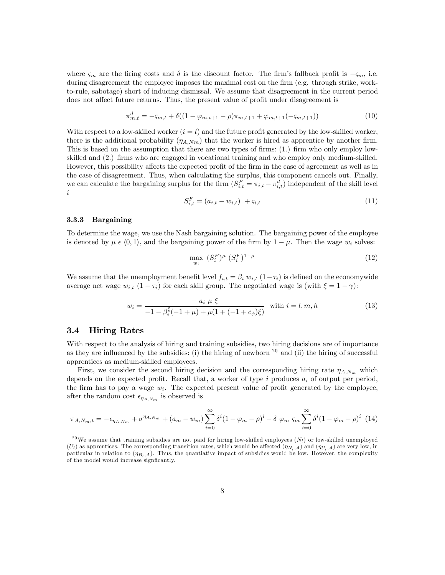where  $\varsigma_m$  are the firing costs and  $\delta$  is the discount factor. The firm's fallback profit is  $-\varsigma_m$ , i.e. during disagreement the employee imposes the maximal cost on the firm (e.g. through strike, workto-rule, sabotage) short of inducing dismissal. We assume that disagreement in the current period does not affect future returns. Thus, the present value of profit under disagreement is

$$
\pi_{m,t}^d = -\varsigma_{m,t} + \delta((1 - \varphi_{m,t+1} - \rho)\pi_{m,t+1} + \varphi_{m,t+1}(-\varsigma_{m,t+1}))
$$
\n(10)

With respect to a low-skilled worker  $(i = l)$  and the future profit generated by the low-skilled worker, there is the additional probability  $(\eta_{A,Nm})$  that the worker is hired as apprentice by another firm. This is based on the assumption that there are two types of firms:  $(1)$  firm who only employ lowskilled and  $(2)$  firms who are engaged in vocational training and who employ only medium-skilled. However, this possibility affects the expected profit of the firm in the case of agreement as well as in the case of disagreement. Thus, when calculating the surplus, this component cancels out. Finally, we can calculate the bargaining surplus for the firm  $(S_{i,t}^F = \pi_{i,t} - \pi_{i,t}^d)$  independent of the skill level i

$$
S_{i,t}^F = (a_{i,t} - w_{i,t}) + \varsigma_{i,t} \tag{11}
$$

#### 3.3.3 Bargaining

To determine the wage, we use the Nash bargaining solution. The bargaining power of the employee is denoted by  $\mu \in \langle 0, 1 \rangle$ , and the bargaining power of the firm by  $1 - \mu$ . Then the wage  $w_i$  solves:

$$
\max_{w_i} \ (S_i^E)^{\mu} \ (S_i^F)^{1-\mu} \tag{12}
$$

We assume that the unemployment benefit level  $f_{i,t} = \beta_i w_{i,t} (1 - \tau_i)$  is defined on the economywide average net wage  $w_{i,t}$   $(1 - \tau_i)$  for each skill group. The negotiated wage is (with  $\xi = 1 - \gamma$ ):

$$
w_i = \frac{-a_i \mu \xi}{-1 - \beta_i^{\xi}(-1 + \mu) + \mu(1 + (-1 + c_{\phi})\xi)} \quad \text{with } i = l, m, h \tag{13}
$$

## 3.4 Hiring Rates

With respect to the analysis of hiring and training subsidies, two hiring decisions are of importance as they are influenced by the subsidies: (i) the hiring of newborn  $^{20}$  and (ii) the hiring of successful apprentices as medium-skilled employees.

First, we consider the second hiring decision and the corresponding hiring rate  $\eta_{A,N_m}$  which depends on the expected profit. Recall that, a worker of type  $i$  produces  $a_i$  of output per period, the firm has to pay a wage  $w_i$ . The expected present value of profit generated by the employee, after the random cost  $\epsilon_{\eta_{A,N_m}}$  is observed is

$$
\pi_{A,N_m,t} = -\epsilon_{\eta_{A,N_m}} + \sigma^{\eta_{A,N_m}} + (a_m - w_m) \sum_{i=0}^{\infty} \delta^i (1 - \varphi_m - \rho)^i - \delta \varphi_m \varsigma_m \sum_{i=0}^{\infty} \delta^i (1 - \varphi_m - \rho)^i
$$
(14)

<sup>&</sup>lt;sup>20</sup>We assume that training subsidies are not paid for hiring low-skilled employees  $(N_l)$  or low-skilled unemployed  $(U_l)$  as apprentices. The corresponding transition rates, which would be affected  $(\eta_{N_l,A})$  and  $(\eta_{U_l,A})$  are very low, in particular in relation to  $(\eta_{B_l,A})$ . Thus, the quantiative impact of subsidies would be low. However, the complexity of the model would increase signficantly.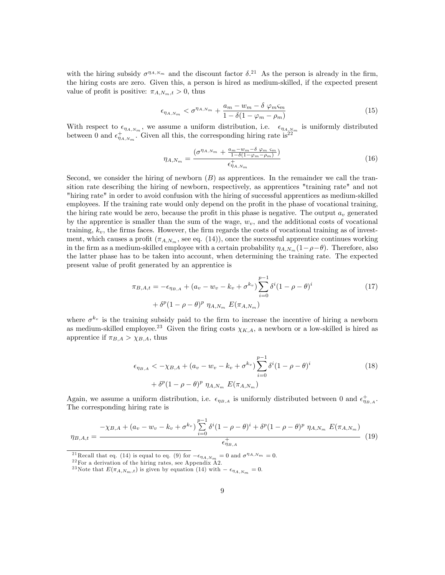with the hiring subsidy  $\sigma^{\eta_{A,N_m}}$  and the discount factor  $\delta^{21}$ . As the person is already in the firm, the hiring costs are zero. Given this, a person is hired as medium-skilled, if the expected present value of profit is positive:  $\pi_{A,N_m,t} > 0$ , thus

$$
\epsilon_{\eta_{A,N_m}} < \sigma^{\eta_{A,N_m}} + \frac{a_m - w_m - \delta \varphi_m \varsigma_m}{1 - \delta(1 - \varphi_m - \rho_m)}\tag{15}
$$

With respect to  $\epsilon_{\eta_{A,N_m}}$ , we assume a uniform distribution, i.e.  $\epsilon_{\eta_{A,N_m}}$  is uniformly distributed between 0 and  $\epsilon_{\eta_{A,N_m}}^+$ . Given all this, the corresponding hiring rate is<sup>22</sup>

$$
\eta_{A,N_m} = \frac{\left(\sigma^{\eta_{A,N_m}} + \frac{a_m - w_m - \delta \varphi_m \varsigma_m}{1 - \delta(1 - \varphi_m - \rho_m)}\right)}{\epsilon_{\eta_{A,N_m}}^+} \tag{16}
$$

Second, we consider the hiring of newborn  $(B)$  as apprentices. In the remainder we call the transition rate describing the hiring of newborn, respectively, as apprentices "training rate" and not "hiring rate" in order to avoid confusion with the hiring of successful apprentices as medium-skilled employees. If the training rate would only depend on the profit in the phase of vocational training, the hiring rate would be zero, because the profit in this phase is negative. The output  $a_v$  generated by the apprentice is smaller than the sum of the wage,  $w<sub>v</sub>$ , and the additional costs of vocational training,  $k_v$ , the firms faces. However, the firm regards the costs of vocational training as of investment, which causes a profit  $(\pi_{A,N_m})$ , see eq. (14), once the successful apprentice continues working in the firm as a medium-skilled employee with a certain probability  $\eta_{A,N_m}(1-\rho-\theta)$ . Therefore, also the latter phase has to be taken into account, when determining the training rate. The expected present value of profit generated by an apprentice is

$$
\pi_{B,A,t} = -\epsilon_{\eta_{B,A}} + (a_v - w_v - k_v + \sigma^{k_v}) \sum_{i=0}^{p-1} \delta^i (1 - \rho - \theta)^i
$$
  
+ 
$$
\delta^p (1 - \rho - \theta)^p \eta_{A,N_m} E(\pi_{A,N_m})
$$
 (17)

where  $\sigma^{k_v}$  is the training subsidy paid to the firm to increase the incentive of hiring a newborn as medium-skilled employee.<sup>23</sup> Given the firing costs  $\chi_{K,A}$ , a newborn or a low-skilled is hired as apprentice if  $\pi_{B,A} > \chi_{B,A}$ , thus

$$
\epsilon_{\eta_{B,A}} < -\chi_{B,A} + (a_v - w_v - k_v + \sigma^{k_v}) \sum_{i=0}^{p-1} \delta^i (1 - \rho - \theta)^i + \delta^p (1 - \rho - \theta)^p \eta_{A,N_m} E(\pi_{A,N_m})
$$
\n(18)

Again, we assume a uniform distribution, i.e.  $\epsilon_{\eta_{B,A}}$  is uniformly distributed between 0 and  $\epsilon_{\eta_{B,A}}^+$ . The corresponding hiring rate is

$$
\eta_{B,A,t} = \frac{-\chi_{B,A} + (a_v - w_v - k_v + \sigma^{k_v}) \sum_{i=0}^{p-1} \delta^i (1 - \rho - \theta)^i + \delta^p (1 - \rho - \theta)^p \eta_{A,N_m} E(\pi_{A,N_m})}{\epsilon_{\eta_{B,A}}^+}
$$
(19)

<sup>21</sup> Recall that eq. (14) is equal to eq. (9) for  $-\epsilon_{\eta_{A,N_m}} = 0$  and  $\sigma^{\eta_{A,N_m}} = 0$ .

 $^{22}$ For a derivation of the hiring rates, see Appendix A2.

<sup>&</sup>lt;sup>23</sup>Note that  $E(\pi_{A,N_m,t})$  is given by equation (14) with  $-\epsilon_{\eta_{A,N_m}}=0$ .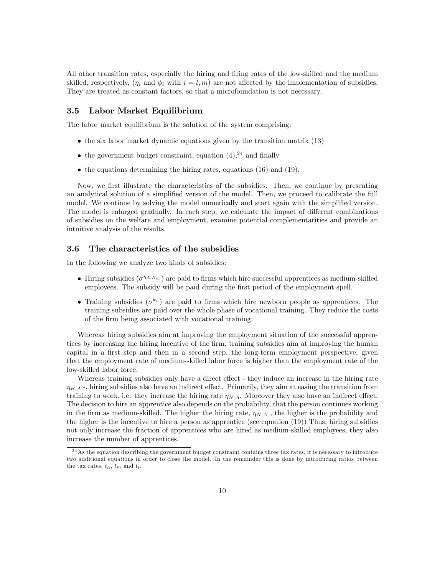All other transition rates, especially the hiring and firing rates of the low-skilled and the medium skilled, respectively,  $(\eta_i$  and  $\phi_i$  with  $i = l, m$  are not affected by the implementation of subsidies. They are treated as constant factors, so that a microfoundation is not necessary.

## 3.5 Labor Market Equilibrium

The labor market equilibrium is the solution of the system comprising:

- $\bullet$  the six labor market dynamic equations given by the transition matrix (13)
- the government budget constraint, equation  $(4)$ , <sup>24</sup> and finally
- $\bullet$  the equations determining the hiring rates, equations (16) and (19).

Now, we first illustrate the characteristics of the subsidies. Then, we continue by presenting an analytical solution of a simplified version of the model. Then, we proceed to calibrate the full model. We continue by solving the model numerically and start again with the simplified version. The model is enlarged gradually. In each step, we calculate the impact of different combinations of subsidies on the welfare and employment, examine potential complementarities and provide an intuitive analysis of the results.

## 3.6 The characteristics of the subsidies

In the following we analyze two kinds of subsidies:

- $\bullet$  Hiring subsidies  $(\sigma^{\eta_{A,N_m}})$  are paid to firms which hire successful apprentices as medium-skilled employees. The subsidy will be paid during the first period of the employment spell.
- Training subsidies  $(\sigma^{k_v})$  are paid to firms which hire newborn people as apprentices. The training subsidies are paid over the whole phase of vocational training. They reduce the costs of the Örm being associated with vocational training.

Whereas hiring subsidies aim at improving the employment situation of the successful apprentices by increasing the hiring incentive of the firm, training subsidies aim at improving the human capital in a first step and then in a second step, the long-term employment perspective, given that the employment rate of medium-skilled labor force is higher than the employment rate of the low-skilled labor force.

Whereas training subsidies only have a direct effect - they induce an increase in the hiring rate  $\eta_{B,A}$  -, hiring subsidies also have an indirect effect. Primarily, they aim at easing the transition from training to work, i.e. they increase the hiring rate  $\eta_{N,A}$ . Moreover they also have an indirect effect. The decision to hire an apprentice also depends on the probability, that the person continues working in the firm as medium-skilled. The higher the hiring rate,  $\eta_{N,A}$ , the higher is the probability and the higher is the incentive to hire a person as apprentice (see equation (19)) Thus, hiring subsidies not only increase the fraction of apprentices who are hired as medium-skilled employees, they also increase the number of apprentices.

<sup>&</sup>lt;sup>24</sup> As the equation describing the government budget constraint contains three tax rates, it is necessary to introduce two additional equations in order to close the model. In the remainder this is done by introducing ratios between the tax rates,  $t_h$ ,  $t_m$  and  $t_l$ .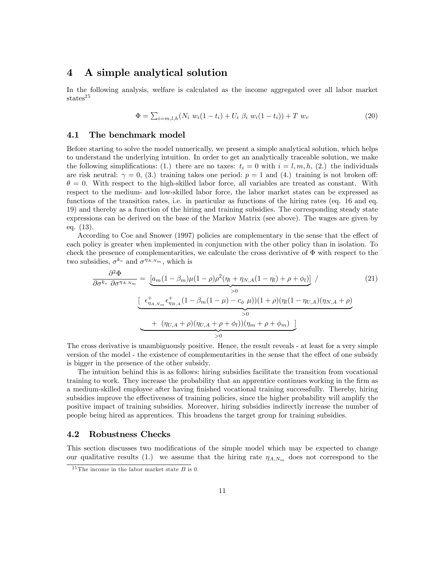# 4 A simple analytical solution

In the following analysis, welfare is calculated as the income aggregated over all labor market states<sup>25</sup>

$$
\Phi = \sum_{i=m,l,h} (N_i w_i (1 - t_i) + U_i \beta_i w_i (1 - t_i)) + T w_v
$$
\n(20)

## 4.1 The benchmark model

Before starting to solve the model numerically, we present a simple analytical solution, which helps to understand the underlying intuition. In order to get an analytically traceable solution, we make the following simplifications: (1.) there are no taxes:  $t_i = 0$  with  $i = l, m, h, (2.)$  the individuals are risk neutral:  $\gamma = 0$ , (3.) training takes one period:  $p = 1$  and (4.) training is not broken off:  $\theta = 0$ . With respect to the high-skilled labor force, all variables are treated as constant. With respect to the medium- and low-skilled labor force, the labor market states can be expressed as functions of the transition rates, i.e. in particular as functions of the hiring rates (eq. 16 and eq. 19) and thereby as a function of the hiring and training subsidies. The corresponding steady state expressions can be derived on the base of the Markov Matrix (see above). The wages are given by eq. (13).

According to Coe and Snower (1997) policies are complementary in the sense that the effect of each policy is greater when implemented in conjunction with the other policy than in isolation. To check the presence of complementarities, we calculate the cross derivative of  $\Phi$  with respect to the two subsidies,  $\sigma^{k_v}$  and  $\sigma^{\eta_{A,N_m}}$ , which is

$$
\frac{\partial^2 \Phi}{\partial \sigma^{k_v} \partial \sigma^{\eta_{A,N_m}}} = \underbrace{[a_m(1-\beta_m)\mu(1-\rho)\rho^2(\eta_l + \eta_{N,A}(1-\eta_l) + \rho + \phi_l)]}_{>0} / \tag{21}
$$
\n
$$
\underbrace{[\epsilon^+_{\eta_{A,N_m}}\epsilon^+_{\eta_{B,A}}(1-\beta_m(1-\mu) - c_{\phi} \mu))(1+\rho)(\eta_l(1-\eta_{U,A})(\eta_{N,A}+\rho) - \phi_l(\eta_{U,A}+\rho)(\eta_{U,A}+\rho + \phi_l))]}_{>0}
$$

The cross derivative is unambiguously positive. Hence, the result reveals - at least for a very simple version of the model - the existence of complementarities in the sense that the effect of one subsidy is bigger in the presence of the other subsidy.

The intuition behind this is as follows: hiring subsidies facilitate the transition from vocational training to work. They increase the probability that an apprentice continues working in the firm as a medium-skilled employee after having finished vocational training successfully. Thereby, hiring subsidies improve the effectiveness of training policies, since the higher probability will amplify the positive impact of training subsidies. Moreover, hiring subsidies indirectly increase the number of people being hired as apprentices. This broadens the target group for training subsidies.

## 4.2 Robustness Checks

This section discusses two modifications of the simple model which may be expected to change our qualitative results (1.) we assume that the hiring rate  $\eta_{A,N_m}$  does not correspond to the

<sup>&</sup>lt;sup>25</sup>The income in the labor market state  $B$  is 0.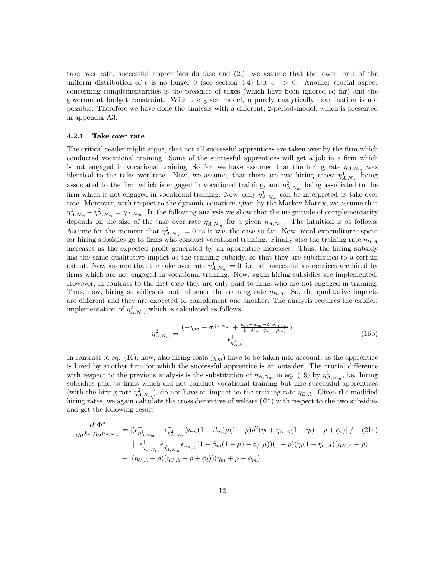take over rate, successful apprentices do face and (2.) we assume that the lower limit of the uniform distribution of  $\epsilon$  is no longer 0 (see section 3.4) but  $\epsilon^- > 0$ . Another crucial aspect concerning complementarities is the presence of taxes (which have been ignored so far) and the government budget constraint. With the given model, a purely analytically examination is not possible. Therefore we have done the analysis with a different, 2-period-model, which is presented in appendix A3.

## 4.2.1 Take over rate

The critical reader might argue, that not all successful apprentices are taken over by the firm which conducted vocational training. Some of the successful apprentices will get a job in a firm which is not engaged in vocational training. So far, we have assumed that the hiring rate  $\eta_{A,N_m}$  was identical to the take over rate. Now, we assume, that there are two hiring rates:  $\eta_{A,N_m}^1$  being associated to the firm which is engaged in vocational training, and  $\eta_{A,N_m}^2$  being associated to the firm which is not engaged in vocational training. Now, only  $\eta_{A,N_m}^1$  can be interpreted as take over rate. Moreover, with respect to the dynamic equations given by the Markov Matrix, we assume that  $\eta_{A,N_m}^1 + \eta_{A,N_m}^2 = \eta_{A,N_m}$ . In the following analysis we show that the magnitude of complementarity depends on the size of the take over rate  $\eta_{A,N_m}^1$  for a given  $\eta_{A,N_m}$ . The intuition is as follows: Assume for the moment that  $\eta_{A,N_m}^2 = 0$  as it was the case so far. Now, total expenditures spent for hiring subsidies go to firms who conduct vocational training. Finally also the training rate  $\eta_{BA}$ increases as the expected profit generated by an apprentice increases. Thus, the hiring subsidy has the same qualitative impact as the training subsidy, so that they are substitutes to a certain extent. Now assume that the take over rate  $\eta_{A,N_m}^1 = 0$ , i.e. all successful apprentices are hired by firms which are not engaged in vocational training. Now, again hiring subsidies are implemented. However, in contrast to the first case they are only paid to firms who are not engaged in training. Thus, now, hiring subsidies do not influence the training rate  $\eta_{BA}$ . So, the qualitative impacts are different and they are expected to complement one another. The analysis requires the explicit implementation of  $\eta_{A,N_m}^2$  which is calculated as follows

$$
\eta_{A,N_m}^2 = \frac{(-\chi_m + \sigma^{\eta_{A,N_m}} + \frac{a_m - w_m - \delta \phi_m \varsigma_m}{1 - \delta(1 - \phi_m - \rho_m)})}{\epsilon_{\eta_{A,N_m}^2}^+}
$$
(16b)

In contrast to eq. (16), now, also hiring costs  $(\chi_m)$  have to be taken into account, as the apprentice is hired by another firm for which the successful apprentice is an outsider. The crucial difference with respect to the previous analysis is the substitution of  $\eta_{A,N_m}$  in eq. (19) by  $\eta_{A,N_m}^1$ , i.e. hiring subsidies paid to firms which did not conduct vocational training but hire successful apprentices (with the hiring rate  $\eta_{A,N_m}^2$ ), do not have an impact on the training rate  $\eta_{B,A}$ . Given the modified hiring rates, we again calculate the cross derivative of welfare  $(\Phi^*)$  with respect to the two subsidies and get the following result

$$
\frac{\partial^2 \Phi^*}{\partial \sigma^{k_v} \partial \sigma^{\eta_{A,N_m}}} = \left[ (\epsilon_{\eta_{A,N_m}^+}^+ + \epsilon_{\eta_{A,N_m}^+}^+) a_m (1 - \beta_m) \mu (1 - \rho) \rho^2 (\eta_l + \eta_{N,A} (1 - \eta_l) + \rho + \phi_l) \right] / \quad (21a)
$$
  

$$
\left[ \epsilon_{\eta_{A,N_m}^+}^+ \epsilon_{\eta_{A,N_m}^+}^+ \epsilon_{\eta_{B,A}}^+ (1 - \beta_m (1 - \mu) - c_\phi \mu) \right) (1 + \rho) (\eta_l (1 - \eta_{U,A}) (\eta_{N,A} + \rho)
$$
  

$$
+ (\eta_{U,A} + \rho) (\eta_{U,A} + \rho + \phi_l) ) (\eta_m + \rho + \phi_m) \right]
$$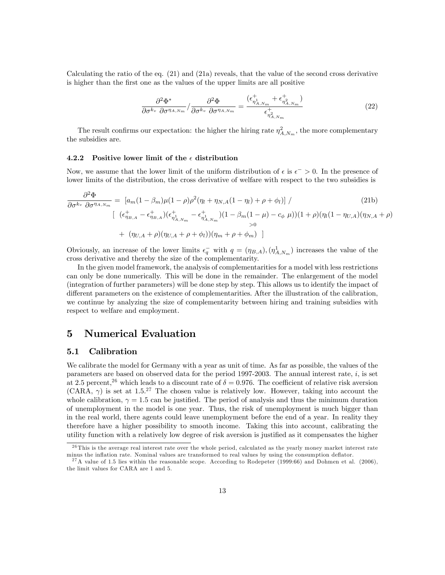Calculating the ratio of the eq. (21) and (21a) reveals, that the value of the second cross derivative is higher than the first one as the values of the upper limits are all positive

$$
\frac{\partial^2 \Phi^*}{\partial \sigma^{k_v} \partial \sigma^{\eta_{A,N_m}}} / \frac{\partial^2 \Phi}{\partial \sigma^{k_v} \partial \sigma^{\eta_{A,N_m}}} = \frac{(\epsilon_{\eta_{A,N_m}}^+ + \epsilon_{\eta_{A,N_m}}^+)}{\epsilon_{\eta_{A,N_m}}^+}
$$
(22)

The result confirms our expectation: the higher the hiring rate  $\eta_{A,N_m}^2$ , the more complementary the subsidies are.

#### 4.2.2 Positive lower limit of the  $\epsilon$  distribution

Now, we assume that the lower limit of the uniform distribution of  $\epsilon$  is  $\epsilon$ <sup>-</sup> > 0. In the presence of lower limits of the distribution, the cross derivative of welfare with respect to the two subsidies is

$$
\frac{\partial^2 \Phi}{\partial \sigma^{k_v} \partial \sigma^{\eta_{A,N_m}}} = \left[ a_m (1 - \beta_m) \mu (1 - \rho) \rho^2 (\eta_l + \eta_{N,A} (1 - \eta_l) + \rho + \phi_l) \right] / \qquad (21b)
$$
\n
$$
\left[ (\epsilon_{\eta_{B,A}}^+ - \epsilon_{\eta_{B,A}}^+) (\epsilon_{\eta_{A,N_m}^+}^+ - \epsilon_{\eta_{A,N_m}^+}^+) (1 - \beta_m (1 - \mu) - c_\phi \mu) (1 + \rho) (\eta_l (1 - \eta_{U,A}) (\eta_{N,A} + \rho) + (\eta_{U,A} + \rho) (\eta_{U,A} + \rho + \phi_l)) (\eta_m + \rho + \phi_m) \right]
$$
\n
$$
(21b)
$$

Obviously, an increase of the lower limits  $\epsilon_q^-$  with  $q = (\eta_{B,A}), (\eta_{A,N_m}^1)$  increases the value of the cross derivative and thereby the size of the complementarity.

In the given model framework, the analysis of complementarities for a model with less restrictions can only be done numerically. This will be done in the remainder. The enlargement of the model (integration of further parameters) will be done step by step. This allows us to identify the impact of different parameters on the existence of complementarities. After the illustration of the calibration, we continue by analyzing the size of complementarity between hiring and training subsidies with respect to welfare and employment.

# 5 Numerical Evaluation

## 5.1 Calibration

We calibrate the model for Germany with a year as unit of time. As far as possible, the values of the parameters are based on observed data for the period  $1997-2003$ . The annual interest rate, i, is set at 2.5 percent,<sup>26</sup> which leads to a discount rate of  $\delta = 0.976$ . The coefficient of relative risk aversion  $(CARA, \gamma)$  is set at 1.5.<sup>27</sup> The chosen value is relatively low. However, taking into account the whole calibration,  $\gamma = 1.5$  can be justified. The period of analysis and thus the minimum duration of unemployment in the model is one year. Thus, the risk of unemployment is much bigger than in the real world, there agents could leave unemployment before the end of a year. In reality they therefore have a higher possibility to smooth income. Taking this into account, calibrating the utility function with a relatively low degree of risk aversion is justified as it compensates the higher

 $26$  This is the average real interest rate over the whole period, calculated as the yearly money market interest rate minus the inflation rate. Nominal values are transformed to real values by using the consumption deflator.

 $^{27}$ A value of 1.5 lies within the reasonable scope. According to Rodepeter (1999:66) and Dohmen et al. (2006), the limit values for CARA are 1 and 5.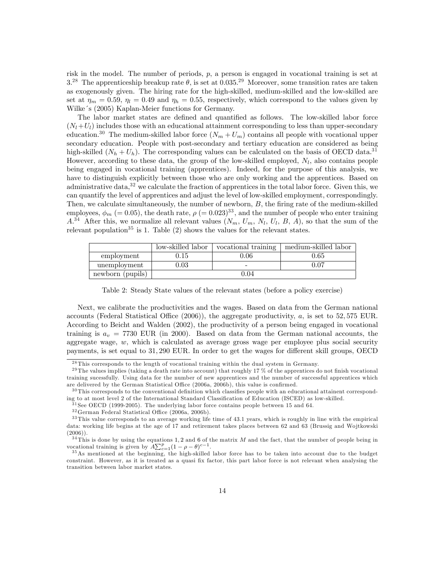risk in the model. The number of periods, p, a person is engaged in vocational training is set at  $3.^{28}$  The apprenticeship breakup rate  $\theta$ , is set at  $0.035.^{29}$  Moreover, some transition rates are taken as exogenously given. The hiring rate for the high-skilled, medium-skilled and the low-skilled are set at  $\eta_m = 0.59$ ,  $\eta_l = 0.49$  and  $\eta_h = 0.55$ , respectively, which correspond to the values given by Wilke's (2005) Kaplan-Meier functions for Germany.

The labor market states are defined and quantified as follows. The low-skilled labor force  $(N_l+U_l)$  includes those with an educational attainment corresponding to less than upper-secondary education.<sup>30</sup> The medium-skilled labor force  $(N_m + U_m)$  contains all people with vocational upper secondary education. People with post-secondary and tertiary education are considered as being high-skilled  $(N_h + U_h)$ . The corresponding values can be calculated on the basis of OECD data.<sup>31</sup> However, according to these data, the group of the low-skilled employed,  $N_l$ , also contains people being engaged in vocational training (apprentices). Indeed, for the purpose of this analysis, we have to distinguish explicitly between those who are only working and the apprentices. Based on administrative data, $32$  we calculate the fraction of apprentices in the total labor force. Given this, we can quantify the level of apprentices and adjust the level of low-skilled employment, correspondingly. Then, we calculate simultaneously, the number of newborn,  $B$ , the firing rate of the medium-skilled employees,  $\phi_m$  (= 0.05), the death rate,  $\rho$  (= 0.023)<sup>33</sup>, and the number of people who enter training  $A^{34}$  After this, we normalize all relevant values  $(N_m, U_m, N_l, U_l, B, A)$ , so that the sum of the relevant population<sup>35</sup> is 1. Table  $(2)$  shows the values for the relevant states.

|                  | low-skilled labor | vocational training | medium-skilled labor |
|------------------|-------------------|---------------------|----------------------|
| employment       | 0.15              | 0.06                | $\rm 0.65$           |
| unemployment     | $0.03\,$          |                     | 0.07                 |
| newborn (pupils) |                   | 0.04                |                      |

Table 2: Steady State values of the relevant states (before a policy exercise)

Next, we calibrate the productivities and the wages. Based on data from the German national accounts (Federal Statistical Office  $(2006)$ ), the aggregate productivity, a, is set to 52,575 EUR. According to Beicht and Walden (2002), the productivity of a person being engaged in vocational training is  $a_v = 7730$  EUR (in 2000). Based on data from the German national accounts, the aggregate wage,  $w$ , which is calculated as average gross wage per employee plus social security payments, is set equal to 31, 290 EUR. In order to get the wages for different skill groups, OECD

<sup>&</sup>lt;sup>28</sup> This corresponds to the length of vocational training within the dual system in Germany.

 $^{29}$ The values implies (taking a death rate into account) that roughly 17 % of the apprentices do not finish vocational training sucessfully. Using data for the number of new apprentices and the number of successful apprentices which are delivered by the German Statistical Office (2006a, 2006b), this value is confirmed.

 $30$  This corresponds to the conventional definition which classifies people with an educational attainent corresponding to at most level 2 of the International Standard Classification of Education (ISCED) as low-skilled.

 $31$  See OECD (1999-2005). The underlying labor force contains people between 15 and 64.

 $32$ German Federal Statistical Office (2006a, 2006b).

<sup>&</sup>lt;sup>33</sup> This value corresponds to an average working life time of 43.1 years, which is roughly in line with the empirical data: working life begins at the age of 17 and retirement takes places between 62 and 63 (Brussig and Wo jtkowski  $(2006)$ ).

 $34$ This is done by using the equations 1, 2 and 6 of the matrix M and the fact, that the number of people being in vocational training is given by  $A \sum_{c=1}^{p} (1 - \rho - \theta)^{c-1}$ .

<sup>3 5</sup>As mentioned at the beginning, the high-skilled labor force has to be taken into account due to the budget constraint. However, as it is treated as a quasi fix factor, this part labor force is not relevant when analysing the transition between labor market states.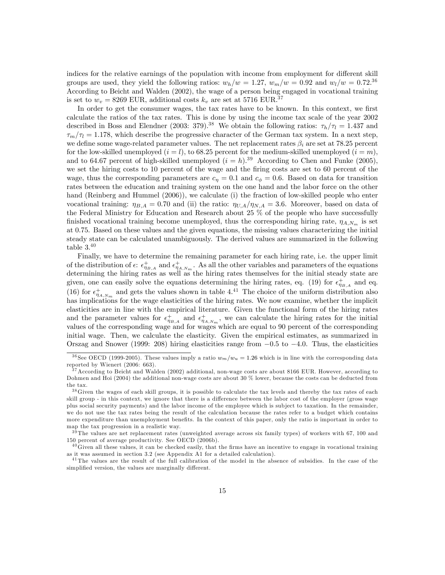indices for the relative earnings of the population with income from employment for different skill groups are used, they yield the following ratios:  $w_h/w = 1.27$ ,  $w_m/w = 0.92$  and  $w_l/w = 0.72$ .<sup>36</sup> According to Beicht and Walden (2002), the wage of a person being engaged in vocational training is set to  $w_v = 8269$  EUR, additional costs  $k_v$  are set at 5716 EUR.<sup>37</sup>

In order to get the consumer wages, the tax rates have to be known. In this context, we first calculate the ratios of the tax rates. This is done by using the income tax scale of the year 2002 described in Boss and Elendner (2003: 379).<sup>38</sup> We obtain the following ratios:  $\tau_h/\tau_l = 1.437$  and  $\tau_m/\tau_l = 1.178$ , which describe the progressive character of the German tax system. In a next step, we define some wage-related parameter values. The net replacement rates  $\beta_i$  are set at 78.25 percent for the low-skilled unemployed  $(i = l)$ , to 68.25 percent for the medium-skilled unemployed  $(i = m)$ , and to 64.67 percent of high-skilled unemployed  $(i = h)$ .<sup>39</sup> According to Chen and Funke (2005), we set the hiring costs to 10 percent of the wage and the firing costs are set to 60 percent of the wage, thus the corresponding parameters are  $c_n = 0.1$  and  $c_{\phi} = 0.6$ . Based on data for transition rates between the education and training system on the one hand and the labor force on the other hand (Reinberg and Hummel (2006)), we calculate (i) the fraction of low-skilled people who enter vocational training:  $\eta_{BA} = 0.70$  and (ii) the ratio:  $\eta_{UA}/\eta_{NA} = 3.6$ . Moreover, based on data of the Federal Ministry for Education and Research about 25 % of the people who have successfully finished vocational training become unemployed, thus the corresponding hiring rate,  $\eta_{A,N_m}$  is set at 0:75. Based on these values and the given equations, the missing values characterizing the initial steady state can be calculated unambiguously. The derived values are summarized in the following table  $3^{40}$ 

Finally, we have to determine the remaining parameter for each hiring rate, i.e. the upper limit of the distribution of  $\epsilon$ :  $\epsilon_{\eta_{B,A}}^+$  and  $\epsilon_{\eta_{A,N_m}}^+$ . As all the other variables and parameters of the equations determining the hiring rates as well as the hiring rates themselves for the initial steady state are given, one can easily solve the equations determining the hiring rates, eq. (19) for  $\epsilon_{\eta_{B,A}}^+$  and eq. (16) for  $\epsilon_{\eta_{A,N_m}}^+$  and gets the values shown in table 4.<sup>41</sup> The choice of the uniform distribution also has implications for the wage elasticities of the hiring rates. We now examine, whether the implicit elasticities are in line with the empirical literature. Given the functional form of the hiring rates and the parameter values for  $\epsilon_{\eta_{B,A}}^+$  and  $\epsilon_{\eta_{A,N_m}}^+$ , we can calculate the hiring rates for the initial values of the corresponding wage and for wages which are equal to 90 percent of the corresponding initial wage. Then, we calculate the elasticity. Given the empirical estimates, as summarized in Orszag and Snower (1999: 208) hiring elasticities range from  $-0.5$  to  $-4.0$ . Thus, the elasticities

<sup>&</sup>lt;sup>36</sup> See OECD (1999-2005). These values imply a ratio  $w_m/w_u = 1.26$  which is in line with the corresponding data reported by Wienert (2006: 663).

<sup>&</sup>lt;sup>37</sup> According to Beicht and Walden (2002) additional, non-wage costs are about 8166 EUR. However, according to Dohmen and Hoi (2004) the additional non-wage costs are about 30 % lower, because the costs can be deducted from the tax.

<sup>3 8</sup>Given the wages of each skill groups, it is possible to calculate the tax levels and thereby the tax rates of each skill group - in this context, we ignore that there is a difference between the labor cost of the employer (gross wage plus social security payments) and the labor income of the employee which is sub ject to taxation. In the remainder, we do not use the tax rates being the result of the calculation because the rates refer to a budget which contains more expenditure than unemployment benefits. In the context of this paper, only the ratio is important in order to map the tax progression in a realistic way.

 $39$ The values are net replacement rates (unweighted average across six family types) of workers with 67, 100 and 150 percent of average productivity. See OECD (2006b).

 $40$  Given all these values, it can be checked easily, that the firms have an incentive to engage in vocational training as it was assumed in section 3.2 (see Appendix A1 for a detailed calculation).

<sup>&</sup>lt;sup>41</sup> The values are the result of the full calibration of the model in the absence of subsidies. In the case of the simplified version, the values are marginally different.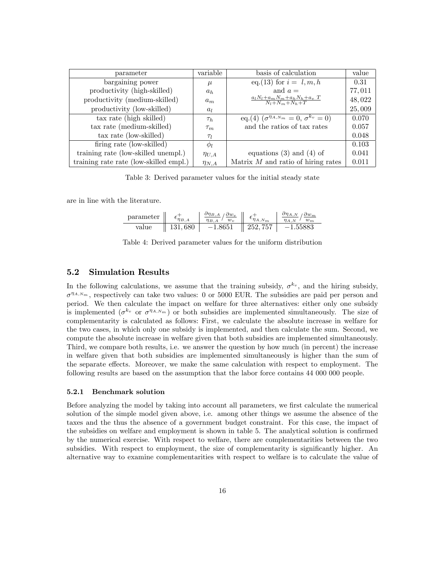| parameter                              | variable     | basis of calculation                                              | value  |
|----------------------------------------|--------------|-------------------------------------------------------------------|--------|
| bargaining power                       | $\mu$        | eq. (13) for $i = l, m, h$                                        | 0.31   |
| productivity (high-skilled)            | $a_h$        | and $a =$                                                         | 77,011 |
| productivity (medium-skilled)          | $a_m$        | $\frac{a_l N_l + a_m N_m + a_h N_h + a_v T}{N_l + N_m + N_h + T}$ | 48,022 |
| productivity (low-skilled)             | $a_l$        |                                                                   | 25,009 |
| tax rate (high skilled)                | $\tau_h$     | eq. (4) $(\sigma^{\eta_{A,N_m}} = 0, \sigma^{k_v} = 0)$           | 0.070  |
| tax rate (medium-skilled)              | $\tau_m$     | and the ratios of tax rates                                       | 0.057  |
| tax rate (low-skilled)                 | $\tau_l$     |                                                                   | 0.048  |
| firing rate (low-skilled)              | $\phi_l$     |                                                                   | 0.103  |
| training rate (low-skilled unempl.)    | $\eta_{U,A}$ | equations $(3)$ and $(4)$ of                                      | 0.041  |
| training rate rate (low-skilled empl.) | $\eta_{N,A}$ | Matrix $M$ and ratio of hiring rates                              | 0.011  |

Table 3: Derived parameter values for the initial steady state

are in line with the literature.

| $\gamma$ parameter $\parallel$ | $\epsilon_{\eta_{B,A}}^{\mp}$ | $\begin{array}{c c} \begin{array}{c} \hline \partial \eta_{B,A} \ \hline \gamma_{A} \end{array} / \frac{\partial w_{v}}{\partial w_{v}} \end{array} \begin{array}{c} \hline \begin{array}{c} \epsilon_{\eta_{A,N_{m}}}^{+} \end{array} \end{array}$ |                     | $\partial \eta_{A,N}$ / $\partial w_m$<br>$\eta_{A,N}$<br>$w_m$ |
|--------------------------------|-------------------------------|-----------------------------------------------------------------------------------------------------------------------------------------------------------------------------------------------------------------------------------------------------|---------------------|-----------------------------------------------------------------|
| value                          | $\parallel 131,680$           | $-1.8651$                                                                                                                                                                                                                                           | $\parallel 252,757$ | $-1.55883$                                                      |

Table 4: Derived parameter values for the uniform distribution

# 5.2 Simulation Results

In the following calculations, we assume that the training subsidy,  $\sigma^{k_v}$ , and the hiring subsidy,  $\sigma^{\eta_{A,N_m}}$ , respectively can take two values: 0 or 5000 EUR. The subsidies are paid per person and period. We then calculate the impact on welfare for three alternatives: either only one subsidy is implemented ( $\sigma^{k_v}$  or  $\sigma^{\eta_{A,N_m}}$ ) or both subsidies are implemented simultaneously. The size of complementarity is calculated as follows: First, we calculate the absolute increase in welfare for the two cases, in which only one subsidy is implemented, and then calculate the sum. Second, we compute the absolute increase in welfare given that both subsidies are implemented simultaneously. Third, we compare both results, i.e. we answer the question by how much (in percent) the increase in welfare given that both subsidies are implemented simultaneously is higher than the sum of the separate effects. Moreover, we make the same calculation with respect to employment. The following results are based on the assumption that the labor force contains 44 000 000 people.

#### 5.2.1 Benchmark solution

Before analyzing the model by taking into account all parameters, we first calculate the numerical solution of the simple model given above, i.e. among other things we assume the absence of the taxes and the thus the absence of a government budget constraint. For this case, the impact of the subsidies on welfare and employment is shown in table 5. The analytical solution is confirmed by the numerical exercise. With respect to welfare, there are complementarities between the two subsidies. With respect to employment, the size of complementarity is significantly higher. An alternative way to examine complementarities with respect to welfare is to calculate the value of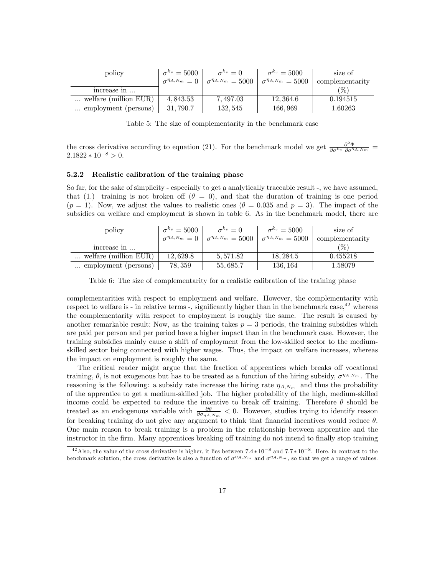| policy                         | $\sigma^{k_v} = 5000$ | $\sigma^{k_v}=0$                                             | $\sigma^{k_v} = 5000$        | size of         |
|--------------------------------|-----------------------|--------------------------------------------------------------|------------------------------|-----------------|
|                                |                       | $\sigma^{\eta_{A,N_m}} = 0$   $\sigma^{\eta_{A,N_m}} = 5000$ | $\sigma^{\eta_{A,N_m}}=5000$ | complementarity |
| increase in                    |                       |                                                              |                              | $\mathscr{C}_0$ |
| $\ldots$ welfare (million EUR) | 4.843.53              | 7.497.03                                                     | 12.364.6                     | 0.194515        |
| employment (persons)           | 31, 790.7             | 132, 545                                                     | 166, 969                     | 1.60263         |

Table 5: The size of complementarity in the benchmark case

the cross derivative according to equation (21). For the benchmark model we get  $\frac{\partial^2 \Phi}{\partial \sigma^{k_v} \partial \sigma^{n_{A,N_m}}}$  $2.1822 * 10^{-8} > 0.$ 

#### 5.2.2 Realistic calibration of the training phase

So far, for the sake of simplicity - especially to get a analytically traceable result -, we have assumed, that (1.) training is not broken of  $(\theta = 0)$ , and that the duration of training is one period  $(p = 1)$ . Now, we adjust the values to realistic ones  $(\theta = 0.035$  and  $p = 3)$ . The impact of the subsidies on welfare and employment is shown in table 6. As in the benchmark model, there are

| policy                         | $\sigma^{k_v} = 5000$ | $\sigma^{k_v}=0$                                             | $\sigma^{k_v} = 5000$          | size of         |
|--------------------------------|-----------------------|--------------------------------------------------------------|--------------------------------|-----------------|
|                                |                       | $\sigma^{\eta_{A,N_m}} = 0$   $\sigma^{\eta_{A,N_m}} = 5000$ | $\sigma^{\eta_{A,N_m}} = 5000$ | complementarity |
| increase in                    |                       |                                                              |                                | $(\%)$          |
| $\ldots$ welfare (million EUR) | 12.629.8              | 5,571.82                                                     | 18.284.5                       | 0.455218        |
| employment (persons)           | 78, 359               | 55,685.7                                                     | 136, 164                       | 1.58079         |

Table 6: The size of complementarity for a realistic calibration of the training phase

complementarities with respect to employment and welfare. However, the complementarity with respect to welfare is - in relative terms -, significantly higher than in the benchmark case,  $^{42}$  whereas the complementarity with respect to employment is roughly the same. The result is caused by another remarkable result: Now, as the training takes  $p = 3$  periods, the training subsidies which are paid per person and per period have a higher impact than in the benchmark case. However, the training subsidies mainly cause a shift of employment from the low-skilled sector to the mediumskilled sector being connected with higher wages. Thus, the impact on welfare increases, whereas the impact on employment is roughly the same.

The critical reader might argue that the fraction of apprentices which breaks of vocational training,  $\theta$ , is not exogenous but has to be treated as a function of the hiring subsidy,  $\sigma^{\eta_{A,N_m}}$ . The reasoning is the following: a subsidy rate increase the hiring rate  $\eta_{A,N_m}$  and thus the probability of the apprentice to get a medium-skilled job. The higher probability of the high, medium-skilled income could be expected to reduce the incentive to break off training. Therefore  $\theta$  should be treated as an endogenous variable with  $\frac{\partial \theta}{\partial \sigma_{\eta A,N_m}} < 0$ . However, studies trying to identify reason for breaking training do not give any argument to think that financial incentives would reduce  $\theta$ . One main reason to break training is a problem in the relationship between apprentice and the instructor in the firm. Many apprentices breaking off training do not intend to finally stop training

<sup>&</sup>lt;sup>42</sup> Also, the value of the cross derivative is higher, it lies between  $7.4*10^{-8}$  and  $7.7*10^{-8}$ . Here, in contrast to the benchmark solution, the cross derivative is also a function of  $\sigma^{\eta_{A,N_m}}$  and  $\sigma^{\eta_{A,N_m}}$ , so that we get a range of values.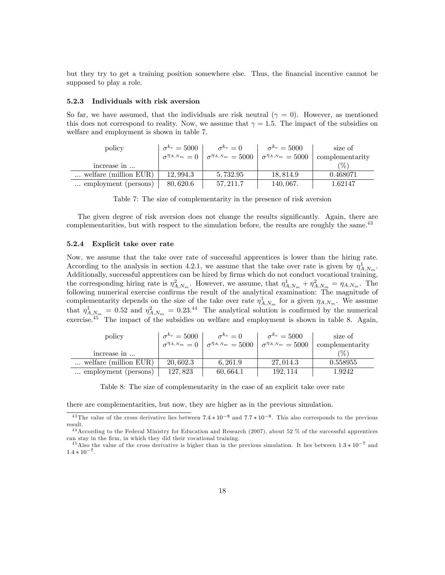but they try to get a training position somewhere else. Thus, the financial incentive cannot be supposed to play a role.

#### 5.2.3 Individuals with risk aversion

So far, we have assumed, that the individuals are risk neutral  $(\gamma = 0)$ . However, as mentioned this does not correspond to reality. Now, we assume that  $\gamma = 1.5$ . The impact of the subsidies on welfare and employment is shown in table 7.

| policy                         | $\sigma^{k_v} = 5000$ | $\sigma^{k_v}=0$                                             | $\sigma^{k_v} = 5000$        | size of         |
|--------------------------------|-----------------------|--------------------------------------------------------------|------------------------------|-----------------|
|                                |                       | $\sigma^{\eta_{A,N_m}} = 0$   $\sigma^{\eta_{A,N_m}} = 5000$ | $\sigma^{\eta_{A,N_m}}=5000$ | complementarity |
| $increase$ $\ldots$            |                       |                                                              |                              | $\frac{1}{2}$   |
| $\ldots$ welfare (million EUR) | 12.994.3              | 5.732.95                                                     | 18,814.9                     | 0.468071        |
| employment (persons)           | 80.620.6              | 57.211.7                                                     | 140, 067.                    | 1.62147         |

Table 7: The size of complementarity in the presence of risk aversion

The given degree of risk aversion does not change the results significantly. Again, there are complementarities, but with respect to the simulation before, the results are roughly the same.<sup>43</sup>

## 5.2.4 Explicit take over rate

Now, we assume that the take over rate of successful apprentices is lower than the hiring rate. According to the analysis in section 4.2.1, we assume that the take over rate is given by  $\eta_{A,N_m}^1$ . Additionally, successful apprentices can be hired by firms which do not conduct vocational training, the corresponding hiring rate is  $\eta_{A,N_m}^2$ . However, we assume, that  $\eta_{A,N_m}^1 + \eta_{A,N_m}^2 = \eta_{A,N_m}$ . The following numerical exercise confirms the result of the analytical examination: The magnitude of complementarity depends on the size of the take over rate  $\eta_{A,N_m}^1$  for a given  $\eta_{A,N_m}$ . We assume that  $\eta_{A,N_m}^1 = 0.52$  and  $\eta_{A,N_m}^2 = 0.23^{44}$  The analytical solution is confirmed by the numerical exercise.<sup>45</sup> The impact of the subsidies on welfare and employment is shown in table 8. Again,

| policy                         | $\sigma^{k_v} = 5000$ | $\sigma^{k_v}=0$                                             | $\sigma^{k_v} = 5000$        | size of         |
|--------------------------------|-----------------------|--------------------------------------------------------------|------------------------------|-----------------|
|                                |                       | $\sigma^{\eta_{A,N_m}} = 0$   $\sigma^{\eta_{A,N_m}} = 5000$ | $\sigma^{\eta_{A,N_m}}=5000$ | complementarity |
| increase in                    |                       |                                                              |                              | $(\%)$          |
| $\ldots$ welfare (million EUR) | 20,602.3              | 6.261.9                                                      | 27, 014.3                    | 0.558955        |
| employment (persons)           | 127,823               | 60,664.1                                                     | 192.114                      | 1.9242          |

Table 8: The size of complementarity in the case of an explicit take over rate

there are complementarities, but now, they are higher as in the previous simulation.

<sup>&</sup>lt;sup>43</sup>The value of the cross derivative lies between  $7.4 * 10^{-8}$  and  $7.7 * 10^{-8}$ . This also corresponds to the previous result.

<sup>4 4</sup>According to the Federal Ministry for Education and Research (2007), about 52 % of the successful apprentices can stay in the Örm, in which they did their vocational training.

<sup>&</sup>lt;sup>45</sup>Also the value of the cross derivative is higher than in the previous simulation. It lies between  $1.3 * 10^{-7}$  and  $1.4 * 10^{-7}$ .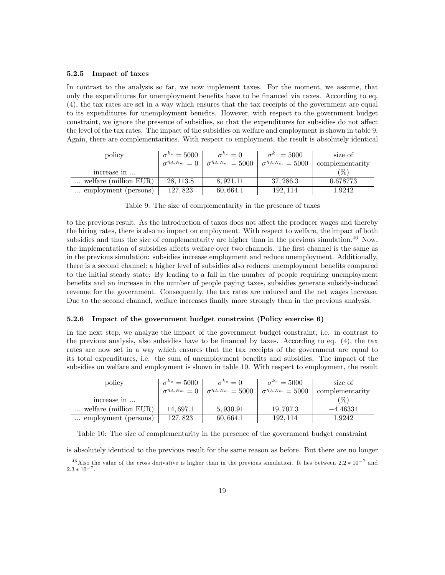#### 5.2.5 Impact of taxes

In contrast to the analysis so far, we now implement taxes. For the moment, we assume, that only the expenditures for unemployment benefits have to be financed via taxes. According to eq. (4), the tax rates are set in a way which ensures that the tax receipts of the government are equal to its expenditures for unemployment benefits. However, with respect to the government budget constraint, we ignore the presence of subsidies, so that the expenditures for subsidies do not affect the level of the tax rates. The impact of the subsidies on welfare and employment is shown in table 9. Again, there are complementarities. With respect to employment, the result is absolutely identical

| policy                         | $\sigma^{k_v} = 5000$ | $\sigma^{k_v}=0$                                             | $\sigma^{k_v} = 5000$        | size of         |
|--------------------------------|-----------------------|--------------------------------------------------------------|------------------------------|-----------------|
|                                |                       | $\sigma^{\eta_{A,N_m}} = 0$   $\sigma^{\eta_{A,N_m}} = 5000$ | $\sigma^{\eta_{A,N_m}}=5000$ | complementarity |
| increase in                    |                       |                                                              |                              | $(\%)$          |
| $\ldots$ welfare (million EUR) | 28.113.8              | 8.921.11                                                     | 37, 286.3                    | 0.678773        |
| employment (persons)           | 127,823               | 60,664.1                                                     | 192, 114                     | 1.9242          |

Table 9: The size of complementarity in the presence of taxes

to the previous result. As the introduction of taxes does not affect the producer wages and thereby the hiring rates, there is also no impact on employment. With respect to welfare, the impact of both subsidies and thus the size of complementarity are higher than in the previous simulation.<sup>46</sup> Now, the implementation of subsidies affects welfare over two channels. The first channel is the same as in the previous simulation: subsidies increase employment and reduce unemployment. Additionally, there is a second channel: a higher level of subsidies also reduces unemployment benefits compared to the initial steady state: By leading to a fall in the number of people requiring unemployment benefits and an increase in the number of people paying taxes, subsidies generate subsidy-induced revenue for the government. Consequently, the tax rates are reduced and the net wages increase. Due to the second channel, welfare increases finally more strongly than in the previous analysis.

#### 5.2.6 Impact of the government budget constraint (Policy exercise 6)

In the next step, we analyze the impact of the government budget constraint, i.e. in contrast to the previous analysis, also subsidies have to be financed by taxes. According to eq.  $(4)$ , the tax rates are now set in a way which ensures that the tax receipts of the government are equal to its total expenditures, i.e. the sum of unemployment benefits and subsidies. The impact of the subsidies on welfare and employment is shown in table 10. With respect to employment, the result

| policy                         | $\sigma^{k_v} = 5000$     | $\sigma^{k_v}=0$               | $\sigma^{k_v} = 5000$        | size of         |
|--------------------------------|---------------------------|--------------------------------|------------------------------|-----------------|
|                                | $\sigma^{\eta_{A,N_m}}=0$ | $\sigma^{\eta_{A,N_m}} = 5000$ | $\sigma^{\eta_{A,N_m}}=5000$ | complementarity |
| $increase$ $\ldots$            |                           |                                |                              | $(\%)$          |
| $\ldots$ welfare (million EUR) | 14.697.1                  | 5,930.91                       | 19, 707.3                    | $-4.46334$      |
| employment (persons)           | 127,823                   | 60,664.1                       | 192, 114                     | 1.9242          |

Table 10: The size of complementarity in the presence of the government budget constraint

is absolutely identical to the previous result for the same reason as before. But there are no longer

<sup>&</sup>lt;sup>46</sup>Also the value of the cross derivative is higher than in the previous simulation. It lies between  $2.2 * 10^{-7}$  and  $2.3 * 10^{-7}$ .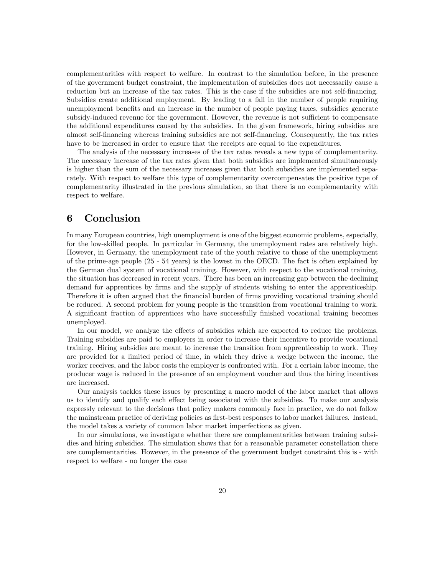complementarities with respect to welfare. In contrast to the simulation before, in the presence of the government budget constraint, the implementation of subsidies does not necessarily cause a reduction but an increase of the tax rates. This is the case if the subsidies are not self-financing. Subsidies create additional employment. By leading to a fall in the number of people requiring unemployment benefits and an increase in the number of people paying taxes, subsidies generate subsidy-induced revenue for the government. However, the revenue is not sufficient to compensate the additional expenditures caused by the subsidies. In the given framework, hiring subsidies are almost self-financing whereas training subsidies are not self-financing. Consequently, the tax rates have to be increased in order to ensure that the receipts are equal to the expenditures.

The analysis of the necessary increases of the tax rates reveals a new type of complementarity. The necessary increase of the tax rates given that both subsidies are implemented simultaneously is higher than the sum of the necessary increases given that both subsidies are implemented separately. With respect to welfare this type of complementarity overcompensates the positive type of complementarity illustrated in the previous simulation, so that there is no complementarity with respect to welfare.

# 6 Conclusion

In many European countries, high unemployment is one of the biggest economic problems, especially, for the low-skilled people. In particular in Germany, the unemployment rates are relatively high. However, in Germany, the unemployment rate of the youth relative to those of the unemployment of the prime-age people (25 - 54 years) is the lowest in the OECD. The fact is often explained by the German dual system of vocational training. However, with respect to the vocational training, the situation has decreased in recent years. There has been an increasing gap between the declining demand for apprentices by firms and the supply of students wishing to enter the apprenticeship. Therefore it is often argued that the financial burden of firms providing vocational training should be reduced. A second problem for young people is the transition from vocational training to work. A significant fraction of apprentices who have successfully finished vocational training becomes unemployed.

In our model, we analyze the effects of subsidies which are expected to reduce the problems. Training subsidies are paid to employers in order to increase their incentive to provide vocational training. Hiring subsidies are meant to increase the transition from apprenticeship to work. They are provided for a limited period of time, in which they drive a wedge between the income, the worker receives, and the labor costs the employer is confronted with. For a certain labor income, the producer wage is reduced in the presence of an employment voucher and thus the hiring incentives are increased.

Our analysis tackles these issues by presenting a macro model of the labor market that allows us to identify and qualify each effect being associated with the subsidies. To make our analysis expressly relevant to the decisions that policy makers commonly face in practice, we do not follow the mainstream practice of deriving policies as first-best responses to labor market failures. Instead, the model takes a variety of common labor market imperfections as given.

In our simulations, we investigate whether there are complementarities between training subsidies and hiring subsidies. The simulation shows that for a reasonable parameter constellation there are complementarities. However, in the presence of the government budget constraint this is - with respect to welfare - no longer the case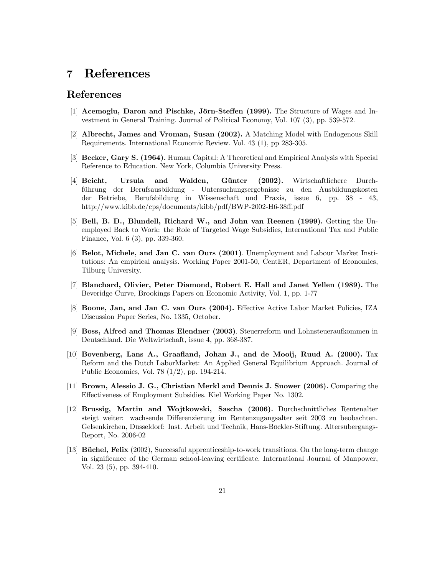# 7 References

# References

- [1] Acemoglu, Daron and Pischke, Jörn-Steffen (1999). The Structure of Wages and Investment in General Training. Journal of Political Economy, Vol. 107 (3), pp. 539-572.
- [2] Albrecht, James and Vroman, Susan (2002). A Matching Model with Endogenous Skill Requirements. International Economic Review. Vol. 43 (1), pp 283-305.
- [3] Becker, Gary S. (1964). Human Capital: A Theoretical and Empirical Analysis with Special Reference to Education. New York, Columbia University Press.
- [4] Beicht, Ursula and Walden, Günter (2002). Wirtschaftlichere Durchführung der Berufsausbildung - Untersuchungsergebnisse zu den Ausbildungskosten der Betriebe, Berufsbildung in Wissenschaft und Praxis, issue 6, pp. 38 - 43, http://www.kibb.de/cps/documents/kibb/pdf/BWP-2002-H6-38ff.pdf
- [5] Bell, B. D., Blundell, Richard W., and John van Reenen (1999). Getting the Unemployed Back to Work: the Role of Targeted Wage Subsidies, International Tax and Public Finance, Vol. 6 (3), pp. 339-360.
- [6] Belot, Michele, and Jan C. van Ours (2001). Unemployment and Labour Market Institutions: An empirical analysis. Working Paper 2001-50, CentER, Department of Economics, Tilburg University.
- [7] Blanchard, Olivier, Peter Diamond, Robert E. Hall and Janet Yellen (1989). The Beveridge Curve, Brookings Papers on Economic Activity, Vol. 1, pp. 1-77
- [8] Boone, Jan, and Jan C. van Ours (2004). Effective Active Labor Market Policies, IZA Discussion Paper Series, No. 1335, October.
- [9] Boss, Alfred and Thomas Elendner (2003). Steuerreform und Lohnsteueraufkommen in Deutschland. Die Weltwirtschaft, issue 4, pp. 368-387.
- [10] Bovenberg, Lans A., Graaáand, Johan J., and de Mooij, Ruud A. (2000). Tax Reform and the Dutch LaborMarket: An Applied General Equilibrium Approach. Journal of Public Economics, Vol. 78 (1/2), pp. 194-214.
- [11] Brown, Alessio J. G., Christian Merkl and Dennis J. Snower (2006). Comparing the Effectiveness of Employment Subsidies. Kiel Working Paper No. 1302.
- [12] Brussig, Martin and Wojtkowski, Sascha (2006). Durchschnittliches Rentenalter steigt weiter: wachsende Differenzierung im Rentenzugangsalter seit 2003 zu beobachten. Gelsenkirchen, Düsseldorf: Inst. Arbeit und Technik, Hans-Böckler-Stiftung. Altersübergangs-Report, No. 2006-02
- [13] **Büchel, Felix** (2002), Successful apprenticeship-to-work transitions. On the long-term change in significance of the German school-leaving certificate. International Journal of Manpower, Vol. 23 (5), pp. 394-410.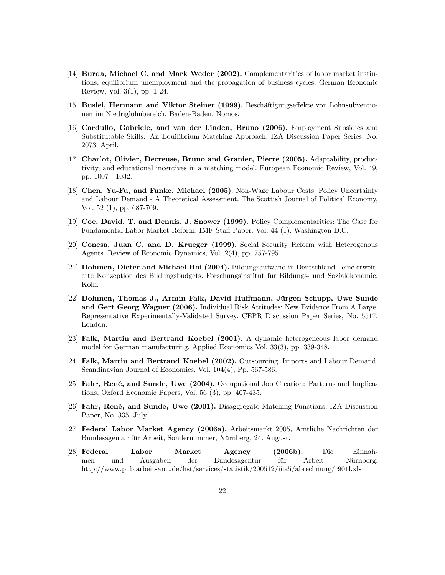- [14] Burda, Michael C. and Mark Weder (2002). Complementarities of labor market instiutions, equilibrium unemployment and the propagation of business cycles. German Economic Review, Vol. 3(1), pp. 1-24.
- [15] Buslei, Hermann and Viktor Steiner (1999). Beschäftigungseffekte von Lohnsubventionen im Niedriglohnbereich. Baden-Baden. Nomos.
- [16] Cardullo, Gabriele, and van der Linden, Bruno (2006). Employment Subsidies and Substitutable Skills: An Equilibrium Matching Approach, IZA Discussion Paper Series, No. 2073, April.
- [17] Charlot, Olivier, Decreuse, Bruno and Granier, Pierre (2005). Adaptability, productivity, and educational incentives in a matching model. European Economic Review, Vol. 49, pp. 1007 - 1032.
- [18] Chen, Yu-Fu, and Funke, Michael (2005). Non-Wage Labour Costs, Policy Uncertainty and Labour Demand - A Theoretical Assessment. The Scottish Journal of Political Economy, Vol. 52 (1), pp. 687-709.
- [19] Coe, David. T. and Dennis. J. Snower (1999). Policy Complementarities: The Case for Fundamental Labor Market Reform. IMF Staff Paper. Vol. 44 (1). Washington D.C.
- [20] Conesa, Juan C. and D. Krueger (1999). Social Security Reform with Heterogenous Agents. Review of Economic Dynamics, Vol. 2(4), pp. 757-795.
- [21] Dohmen, Dieter and Michael Hoi (2004). Bildungsaufwand in Deutschland eine erweiterte Konzeption des Bildungsbudgets. Forschungsinstitut für Bildungs- und Sozialökonomie. Köln.
- [22] Dohmen, Thomas J., Armin Falk, David Huffmann, Jürgen Schupp, Uwe Sunde and Gert Georg Wagner (2006). Individual Risk Attitudes: New Evidence From A Large, Representative Experimentally-Validated Survey. CEPR Discussion Paper Series, No. 5517. London.
- [23] Falk, Martin and Bertrand Koebel (2001). A dynamic heterogeneous labor demand model for German manufacturing. Applied Economics Vol. 33(3), pp. 339-348.
- [24] Falk, Martin and Bertrand Koebel (2002). Outsourcing, Imports and Labour Demand. Scandinavian Journal of Economics. Vol. 104(4), Pp. 567-586.
- [25] Fahr, René, and Sunde, Uwe (2004). Occupational Job Creation: Patterns and Implications, Oxford Economic Papers, Vol. 56 (3), pp. 407-435.
- [26] Fahr, René, and Sunde, Uwe (2001). Disaggregate Matching Functions, IZA Discussion Paper, No. 335, July.
- [27] Federal Labor Market Agency (2006a). Arbeitsmarkt 2005, Amtliche Nachrichten der Bundesagentur für Arbeit, Sondernummer, Nürnberg, 24. August.
- [28] Federal Labor Market Agency (2006b). Die Einnahmen und Ausgaben der Bundesagentur für Arbeit, Nürnberg. http://www.pub.arbeitsamt.de/hst/services/statistik/200512/iiia5/abrechnung/r901l.xls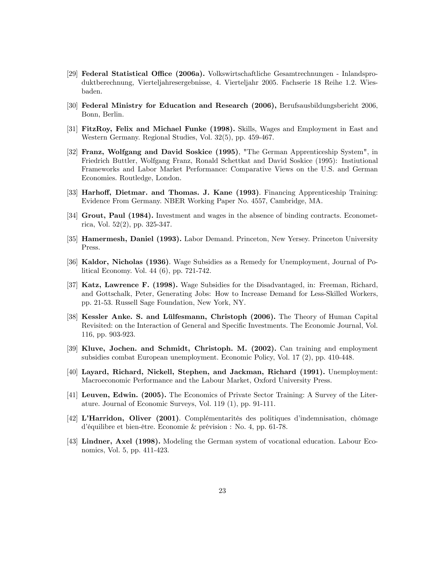- [29] **Federal Statistical Office (2006a).** Volkswirtschaftliche Gesamtrechnungen Inlandsproduktberechnung, Vierteljahresergebnisse, 4. Vierteljahr 2005. Fachserie 18 Reihe 1.2. Wiesbaden.
- [30] Federal Ministry for Education and Research (2006), Berufsausbildungsbericht 2006, Bonn, Berlin.
- [31] FitzRoy, Felix and Michael Funke (1998). Skills, Wages and Employment in East and Western Germany. Regional Studies, Vol. 32(5), pp. 459-467.
- [32] **Franz, Wolfgang and David Soskice (1995)**, "The German Apprenticeship System", in Friedrich Buttler, Wolfgang Franz, Ronald Schettkat and David Soskice (1995): Instiutional Frameworks and Labor Market Performance: Comparative Views on the U.S. and German Economies. Routledge, London.
- [33] Harhoff, Dietmar. and Thomas. J. Kane (1993). Financing Apprenticeship Training: Evidence From Germany. NBER Working Paper No. 4557, Cambridge, MA.
- [34] **Grout, Paul (1984).** Investment and wages in the absence of binding contracts. Econometrica, Vol. 52(2), pp. 325-347.
- [35] Hamermesh, Daniel (1993). Labor Demand. Princeton, New Yersey. Princeton University Press.
- [36] Kaldor, Nicholas (1936). Wage Subsidies as a Remedy for Unemployment, Journal of Political Economy. Vol. 44 (6), pp. 721-742.
- [37] Katz, Lawrence F. (1998). Wage Subsidies for the Disadvantaged, in: Freeman, Richard, and Gottschalk, Peter, Generating Jobs: How to Increase Demand for Less-Skilled Workers, pp. 21-53. Russell Sage Foundation, New York, NY.
- [38] Kessler Anke. S. and Lülfesmann, Christoph (2006). The Theory of Human Capital Revisited: on the Interaction of General and Specific Investments. The Economic Journal, Vol. 116, pp. 903-923.
- [39] Kluve, Jochen. and Schmidt, Christoph. M. (2002). Can training and employment subsidies combat European unemployment. Economic Policy, Vol. 17 (2), pp. 410-448.
- [40] Layard, Richard, Nickell, Stephen, and Jackman, Richard (1991). Unemployment: Macroeconomic Performance and the Labour Market, Oxford University Press.
- [41] Leuven, Edwin. (2005). The Economics of Private Sector Training: A Survey of the Literature. Journal of Economic Surveys, Vol. 119 (1), pp. 91-111.
- [42] L'Harridon, Oliver (2001). Complémentarités des politiques d'indemnisation, chômage d'équilibre et bien-être. Economie & prévision : No. 4, pp. 61-78.
- [43] Lindner, Axel (1998). Modeling the German system of vocational education. Labour Economics, Vol. 5, pp. 411-423.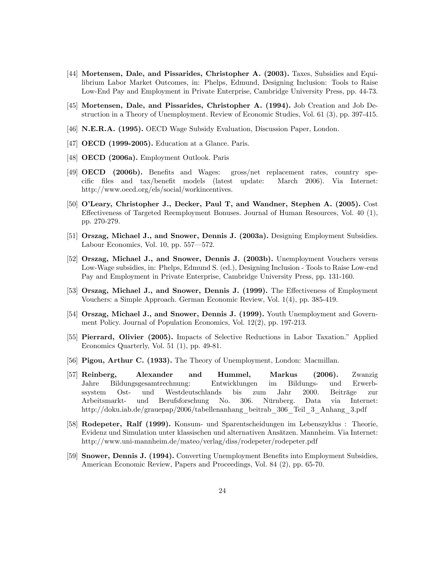- [44] Mortensen, Dale, and Pissarides, Christopher A. (2003). Taxes, Subsidies and Equilibrium Labor Market Outcomes, in: Phelps, Edmund, Designing Inclusion: Tools to Raise Low-End Pay and Employment in Private Enterprise, Cambridge University Press, pp. 44-73.
- [45] Mortensen, Dale, and Pissarides, Christopher A. (1994). Job Creation and Job Destruction in a Theory of Unemployment. Review of Economic Studies, Vol. 61 (3), pp. 397-415.
- [46] N.E.R.A. (1995). OECD Wage Subsidy Evaluation, Discussion Paper, London.
- [47] **OECD** (1999-2005). Education at a Glance. Paris.
- [48] OECD (2006a). Employment Outlook. Paris
- [49] **OECD** (2006b). Benefits and Wages: gross/net replacement rates, country specific files and tax/benefit models (latest update: March 2006). Via Internet: http://www.oecd.org/els/social/workincentives.
- [50] O'Leary, Christopher J., Decker, Paul T, and Wandner, Stephen A. (2005). Cost Effectiveness of Targeted Reemployment Bonuses. Journal of Human Resources, Vol. 40 (1), pp. 270-279.
- [51] Orszag, Michael J., and Snower, Dennis J. (2003a). Designing Employment Subsidies. Labour Economics, Vol. 10, pp.  $557-572$ .
- [52] Orszag, Michael J., and Snower, Dennis J. (2003b). Unemployment Vouchers versus Low-Wage subsidies, in: Phelps, Edmund S. (ed.), Designing Inclusion - Tools to Raise Low-end Pay and Employment in Private Enterprise, Cambridge University Press, pp. 131-160.
- [53] Orszag, Michael J., and Snower, Dennis J. (1999). The Effectiveness of Employment Vouchers: a Simple Approach. German Economic Review, Vol. 1(4), pp. 385-419.
- [54] Orszag, Michael J., and Snower, Dennis J. (1999). Youth Unemployment and Government Policy. Journal of Population Economics, Vol. 12(2), pp. 197-213.
- [55] Pierrard, Olivier (2005). Impacts of Selective Reductions in Labor Taxation.î Applied Economics Quarterly, Vol. 51 (1), pp. 49-81.
- [56] Pigou, Arthur C. (1933). The Theory of Unemployment, London: Macmillan.
- [57] Reinberg, Alexander and Hummel, Markus (2006). Zwanzig Jahre Bildungsgesamtrechnung: Entwicklungen im Bildungs- und Erwerbssystem Ost- und Westdeutschlands bis zum Jahr 2000. Beiträge zur Arbeitsmarkt- und Berufsforschung No. 306. Nürnberg. Data via Internet: http://doku.iab.de/grauepap/2006/tabellenanhang\_beitrab\_306\_Teil\_3\_Anhang\_3.pdf
- [58] Rodepeter, Ralf (1999). Konsum- und Sparentscheidungen im Lebenszyklus : Theorie, Evidenz und Simulation unter klassischen und alternativen Ans‰tzen. Mannheim. Via Internet: http://www.uni-mannheim.de/mateo/verlag/diss/rodepeter/rodepeter.pdf
- [59] Snower, Dennis J. (1994). Converting Unemployment Benefits into Employment Subsidies, American Economic Review, Papers and Proceedings, Vol. 84 (2), pp. 65-70.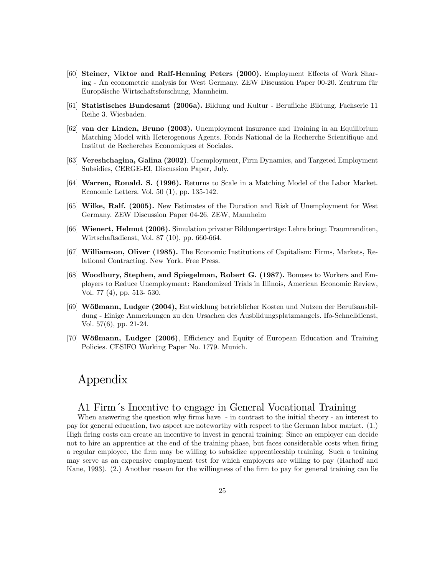- [60] Steiner, Viktor and Ralf-Henning Peters (2000). Employment Effects of Work Sharing - An econometric analysis for West Germany. ZEW Discussion Paper 00-20. Zentrum für Europ‰ische Wirtschaftsforschung, Mannheim.
- [61] Statistisches Bundesamt (2006a). Bildung und Kultur Beruáiche Bildung. Fachserie 11 Reihe 3. Wiesbaden.
- [62] van der Linden, Bruno (2003). Unemployment Insurance and Training in an Equilibrium Matching Model with Heterogenous Agents. Fonds National de la Recherche Scientifique and Institut de Recherches Economiques et Sociales.
- [63] Vereshchagina, Galina (2002). Unemployment, Firm Dynamics, and Targeted Employment Subsidies, CERGE-EI, Discussion Paper, July.
- [64] Warren, Ronald. S. (1996). Returns to Scale in a Matching Model of the Labor Market. Economic Letters. Vol. 50 (1), pp. 135-142.
- [65] Wilke, Ralf. (2005). New Estimates of the Duration and Risk of Unemployment for West Germany. ZEW Discussion Paper 04-26, ZEW, Mannheim
- [66] Wienert, Helmut (2006). Simulation privater Bildungserträge: Lehre bringt Traumrenditen, Wirtschaftsdienst, Vol. 87 (10), pp. 660-664.
- [67] Williamson, Oliver (1985). The Economic Institutions of Capitalism: Firms, Markets, Relational Contracting. New York. Free Press.
- [68] Woodbury, Stephen, and Spiegelman, Robert G. (1987). Bonuses to Workers and Employers to Reduce Unemployment: Randomized Trials in Illinois, American Economic Review, Vol. 77 (4), pp. 513- 530.
- [69] Wˆflmann, Ludger (2004), Entwicklung betrieblicher Kosten und Nutzen der Berufsausbildung - Einige Anmerkungen zu den Ursachen des Ausbildungsplatzmangels. Ifo-Schnelldienst, Vol. 57(6), pp. 21-24.
- [70] Wößmann, Ludger (2006), Efficiency and Equity of European Education and Training Policies. CESIFO Working Paper No. 1779. Munich.

# Appendix

# A1 Firm's Incentive to engage in General Vocational Training

When answering the question why firms have - in contrast to the initial theory - an interest to pay for general education, two aspect are noteworthy with respect to the German labor market. (1.) High firing costs can create an incentive to invest in general training: Since an employer can decide not to hire an apprentice at the end of the training phase, but faces considerable costs when firing a regular employee, the Örm may be willing to subsidize apprenticeship training. Such a training may serve as an expensive employment test for which employers are willing to pay (Harhoff and Kane, 1993). (2.) Another reason for the willingness of the firm to pay for general training can lie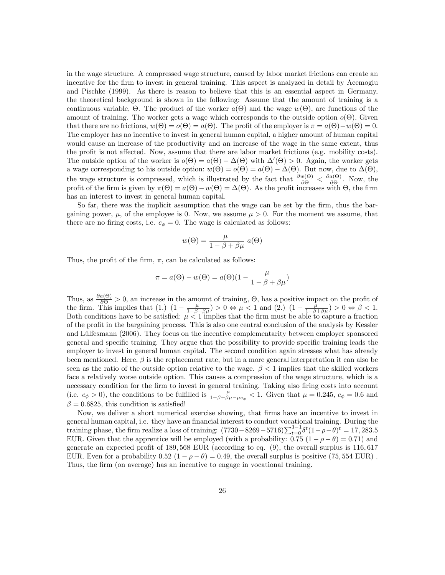in the wage structure. A compressed wage structure, caused by labor market frictions can create an incentive for the firm to invest in general training. This aspect is analyzed in detail by Acemoglu and Pischke (1999). As there is reason to believe that this is an essential aspect in Germany, the theoretical background is shown in the following: Assume that the amount of training is a continuous variable,  $\Theta$ . The product of the worker  $a(\Theta)$  and the wage  $w(\Theta)$ , are functions of the amount of training. The worker gets a wage which corresponds to the outside option  $o(\Theta)$ . Given that there are no frictions,  $w(\Theta) = o(\Theta) = a(\Theta)$ . The profit of the employer is  $\pi = a(\Theta) - w(\Theta) = 0$ . The employer has no incentive to invest in general human capital, a higher amount of human capital would cause an increase of the productivity and an increase of the wage in the same extent, thus the profit is not affected. Now, assume that there are labor market frictions (e.g. mobility costs). The outside option of the worker is  $o(\Theta) = a(\Theta) - \Delta(\Theta)$  with  $\Delta'(\Theta) > 0$ . Again, the worker gets a wage corresponding to his outside option:  $w(\Theta) = o(\Theta) = a(\Theta) - \Delta(\Theta)$ . But now, due to  $\Delta(\Theta)$ , the wage structure is compressed, which is illustrated by the fact that  $\frac{\partial w(\Theta)}{\partial \Theta}$  $\frac{w(\Theta)}{\partial \Theta} < \frac{\partial a(\Theta)}{\partial \Theta}$  $\frac{a(\Theta)}{\partial \Theta}$ . Now, the profit of the firm is given by  $\pi(\Theta) = a(\Theta) - w(\Theta) = \Delta(\Theta)$ . As the profit increases with  $\Theta$ , the firm has an interest to invest in general human capital.

So far, there was the implicit assumption that the wage can be set by the firm, thus the bargaining power,  $\mu$ , of the employee is 0. Now, we assume  $\mu > 0$ . For the moment we assume, that there are no firing costs, i.e.  $c_{\phi} = 0$ . The wage is calculated as follows:

$$
w(\Theta) = \frac{\mu}{1 - \beta + \beta \mu} a(\Theta)
$$

Thus, the profit of the firm,  $\pi$ , can be calculated as follows:

$$
\pi = a(\Theta) - w(\Theta) = a(\Theta)(1 - \frac{\mu}{1 - \beta + \beta \mu})
$$

Thus, as  $\frac{\partial a(\Theta)}{\partial \Theta}$  $\frac{a(\Theta)}{\partial \Theta} > 0$ , an increase in the amount of training,  $\Theta$ , has a positive impact on the profit of the firm. This implies that (1.)  $(1 - \frac{\mu}{1-\beta+\beta\mu}) > 0 \Leftrightarrow \mu < 1$  and (2.)  $(1 - \frac{\mu}{1-\beta+\beta\mu}) > 0 \Leftrightarrow \beta < 1$ .<br>Both conditions have to be satisfied:  $\mu < 1$  implies that the firm must be able to capture a fraction of the profit in the bargaining process. This is also one central conclusion of the analysis by Kessler and Lülfesmann (2006). They focus on the incentive complementarity between employer sponsored general and specific training. They argue that the possibility to provide specific training leads the employer to invest in general human capital. The second condition again stresses what has already been mentioned. Here,  $\beta$  is the replacement rate, but in a more general interpretation it can also be seen as the ratio of the outside option relative to the wage.  $\beta < 1$  implies that the skilled workers face a relatively worse outside option. This causes a compression of the wage structure, which is a necessary condition for the firm to invest in general training. Taking also firing costs into account (i.e.  $c_{\phi} > 0$ ), the conditions to be fulfilled is  $\frac{\mu}{1-\beta+\beta\mu-\mu c_{\phi}} < 1$ . Given that  $\mu = 0.245$ ,  $c_{\phi} = 0.6$  and  $\beta = 0.6825$ , this condition is satisfied!

Now, we deliver a short numerical exercise showing, that firms have an incentive to invest in general human capital, i.e. they have an financial interest to conduct vocational training. During the training phase, the firm realize a loss of training:  $(7730 - 8269 - 5716)\sum_{t=0}^{3-1} \delta^t (1 - \rho - \theta)^t = 17, 283.5$ EUR. Given that the apprentice will be employed (with a probability:  $0.75$   $(1 - \rho - \theta) = 0.71$ ) and generate an expected profit of  $189,568$  EUR (according to eq.  $(9)$ , the overall surplus is  $116,617$ EUR. Even for a probability  $0.52$   $(1 - \rho - \theta) = 0.49$ , the overall surplus is positive (75, 554 EUR). Thus, the firm (on average) has an incentive to engage in vocational training.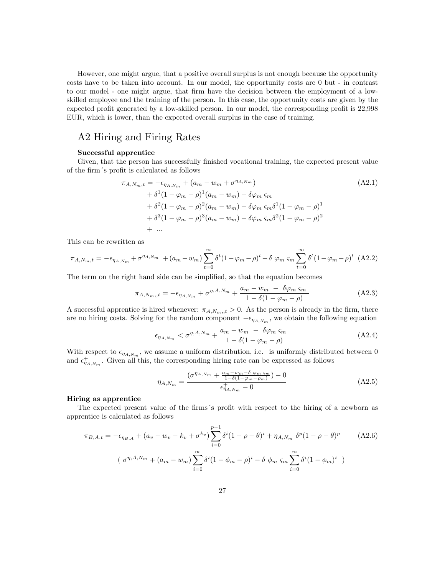However, one might argue, that a positive overall surplus is not enough because the opportunity costs have to be taken into account. In our model, the opportunity costs are 0 but - in contrast to our model - one might argue, that firm have the decision between the employment of a lowskilled employee and the training of the person. In this case, the opportunity costs are given by the expected profit generated by a low-skilled person. In our model, the corresponding profit is 22,998 EUR, which is lower, than the expected overall surplus in the case of training.

# A2 Hiring and Firing Rates

### Successful apprentice

Given, that the person has successfully finished vocational training, the expected present value of the firm's profit is calculated as follows

$$
\pi_{A,N_m,t} = -\epsilon_{\eta_{A,N_m}} + (a_m - w_m + \sigma^{\eta_{A,N_m}})
$$
\n
$$
+ \delta^1 (1 - \varphi_m - \rho)^1 (a_m - w_m) - \delta \varphi_m \varsigma_m
$$
\n
$$
+ \delta^2 (1 - \varphi_m - \rho)^2 (a_m - w_m) - \delta \varphi_m \varsigma_m \delta^1 (1 - \varphi_m - \rho)^1
$$
\n
$$
+ \delta^3 (1 - \varphi_m - \rho)^3 (a_m - w_m) - \delta \varphi_m \varsigma_m \delta^2 (1 - \varphi_m - \rho)^2
$$
\n
$$
+ ...
$$
\n(A2.1)

This can be rewritten as

$$
\pi_{A,N_m,t} = -\epsilon_{\eta_{A,N_m}} + \sigma^{\eta_{A,N_m}} + (a_m - w_m) \sum_{t=0}^{\infty} \delta^t (1 - \varphi_m - \rho)^t - \delta \varphi_m \varsigma_m \sum_{t=0}^{\infty} \delta^t (1 - \varphi_m - \rho)^t
$$
(A2.2)

The term on the right hand side can be simplified, so that the equation becomes

$$
\pi_{A,N_m,t} = -\epsilon_{\eta_{A,N_m}} + \sigma^{\eta_{A,N_m}} + \frac{a_m - w_m - \delta \varphi_m \varsigma_m}{1 - \delta(1 - \varphi_m - \rho)}
$$
(A2.3)

A successful apprentice is hired whenever:  $\pi_{A,N_m,i} > 0$ . As the person is already in the firm, there are no hiring costs. Solving for the random component  $-\epsilon_{\eta_{A,N_m}}$ , we obtain the following equation

$$
\epsilon_{\eta_{A,N_m}} < \sigma^{\eta, A,N_m} + \frac{a_m - w_m - \delta\varphi_m \varsigma_m}{1 - \delta(1 - \varphi_m - \rho)}\tag{A2.4}
$$

With respect to  $\epsilon_{\eta_{A,N_m}}$ , we assume a uniform distribution, i.e. is uniformly distributed between 0 and  $\epsilon_{\eta_{A,N_m}}^+$ . Given all this, the corresponding hiring rate can be expressed as follows

$$
\eta_{A,N_m} = \frac{\left(\sigma^{\eta_{A,N_m}} + \frac{a_m - w_m - \delta \varphi_m \varsigma_m}{1 - \delta(1 - \varphi_m - \rho_m)}\right) - 0}{\epsilon_{\eta_{A,N_m}}^+ - 0} \tag{A2.5}
$$

#### Hiring as apprentice

The expected present value of the firms s profit with respect to the hiring of a newborn as apprentice is calculated as follows

$$
\pi_{B,A,t} = -\epsilon_{\eta_{B,A}} + (a_v - w_v - k_v + \sigma^{k_v}) \sum_{i=0}^{p-1} \delta^i (1 - \rho - \theta)^i + \eta_{A,N_m} \delta^p (1 - \rho - \theta)^p \qquad (A2.6)
$$

$$
(\sigma^{\eta, A,N_m} + (a_m - w_m) \sum_{i=0}^{\infty} \delta^i (1 - \phi_m - \rho)^i - \delta \phi_m \zeta_m \sum_{i=0}^{\infty} \delta^i (1 - \phi_m)^i)
$$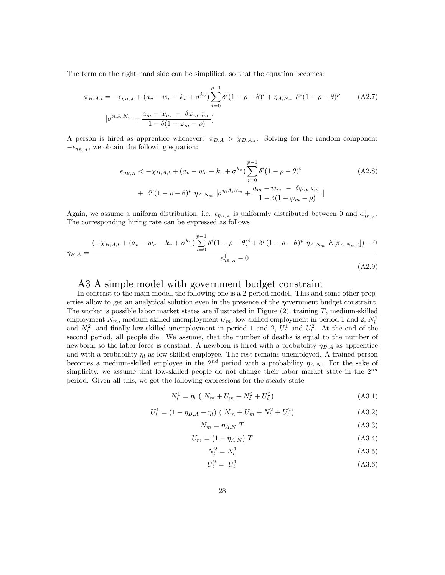The term on the right hand side can be simplified, so that the equation becomes:

$$
\pi_{B,A,t} = -\epsilon_{\eta_{B,A}} + (a_v - w_v - k_v + \sigma^{k_v}) \sum_{i=0}^{p-1} \delta^i (1 - \rho - \theta)^i + \eta_{A,N_m} \delta^p (1 - \rho - \theta)^p \qquad (A2.7)
$$

$$
[\sigma^{\eta, A,N_m} + \frac{a_m - w_m - \delta \varphi_m \varsigma_m}{1 - \delta (1 - \varphi_m - \rho)}]
$$

A person is hired as apprentice whenever:  $\pi_{B,A} > \chi_{B,A,t}$ . Solving for the random component  $-\epsilon_{\eta_{B,A}}$ , we obtain the following equation:

$$
\epsilon_{\eta_{B,A}} < -\chi_{B,A,t} + (a_v - w_v - k_v + \sigma^{k_v}) \sum_{i=0}^{p-1} \delta^i (1 - \rho - \theta)^i
$$
\n
$$
+ \delta^p (1 - \rho - \theta)^p \eta_{A,N_m} \left[ \sigma^{\eta, A,N_m} + \frac{a_m - w_m - \delta \varphi_m \varsigma_m}{1 - \delta (1 - \varphi_m - \rho)} \right]
$$
\n(A2.8)

Again, we assume a uniform distribution, i.e.  $\epsilon_{\eta_{B,A}}$  is uniformly distributed between 0 and  $\epsilon_{\eta_{B,A}}^+$ . The corresponding hiring rate can be expressed as follows

$$
\eta_{B,A} = \frac{(-\chi_{B,A,t} + (a_v - w_v - k_v + \sigma^{k_v}) \sum_{i=0}^{p-1} \delta^i (1 - \rho - \theta)^i + \delta^p (1 - \rho - \theta)^p \eta_{A,N_m} E[\pi_{A,N_m,t}]) - 0}{\epsilon_{\eta_{B,A}}^+ - 0}
$$
(A2.9)

# A3 A simple model with government budget constraint

In contrast to the main model, the following one is a 2-period model. This and some other properties allow to get an analytical solution even in the presence of the government budget constraint. The worker 's possible labor market states are illustrated in Figure  $(2)$ : training T, medium-skilled employment  $N_m$ , medium-skilled unemployment  $U_m$ , low-skilled employment in period 1 and 2,  $N_l^1$ and  $N_l^2$ , and finally low-skilled unemployment in period 1 and 2,  $U_l^1$  and  $U_l^2$ . At the end of the second period, all people die. We assume, that the number of deaths is equal to the number of newborn, so the labor force is constant. A newborn is hired with a probability  $\eta_{B,A}$  as apprentice and with a probability  $\eta_l$  as low-skilled employee. The rest remains unemployed. A trained person becomes a medium-skilled employee in the  $2^{nd}$  period with a probability  $\eta_{A,N}$ . For the sake of simplicity, we assume that low-skilled people do not change their labor market state in the  $2^{nd}$ period. Given all this, we get the following expressions for the steady state

$$
N_l^1 = \eta_l \left( N_m + U_m + N_l^2 + U_l^2 \right) \tag{A3.1}
$$

$$
U_l^1 = (1 - \eta_{B,A} - \eta_l) (N_m + U_m + N_l^2 + U_l^2)
$$
 (A3.2)

$$
N_m = \eta_{A,N} \ T \tag{A3.3}
$$

$$
U_m = (1 - \eta_{A,N}) \, T \tag{A3.4}
$$

$$
N_l^2 = N_l^1 \tag{A3.5}
$$

$$
U_l^2 = U_l^1 \tag{A3.6}
$$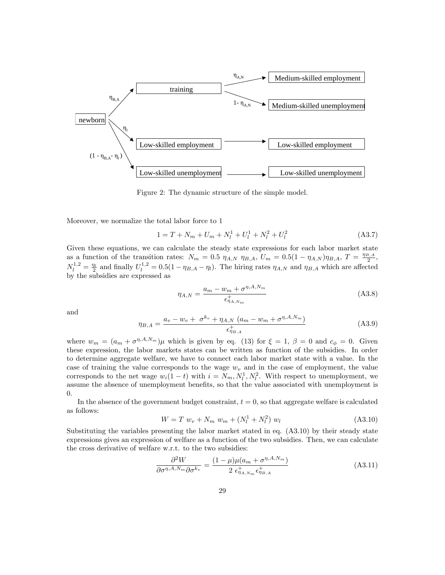

Figure 2: The dynamic structure of the simple model.

Moreover, we normalize the total labor force to 1

$$
1 = T + N_m + U_m + N_l^1 + U_l^1 + N_l^2 + U_l^2
$$
\n(A3.7)

Given these equations, we can calculate the steady state expressions for each labor market state as a function of the transition rates:  $N_m = 0.5 \eta_{A,N} \eta_{B,A}, U_m = 0.5(1 - \eta_{A,N})\eta_{B,A}, T = \frac{\eta_{B,A}}{2},$  $N_l^{1,2} = \frac{\eta_l}{2}$  and finally  $U_l^{1,2} = 0.5(1 - \eta_{B,A} - \eta_l)$ . The hiring rates  $\eta_{A,N}$  and  $\eta_{B,A}$  which are affected by the subsidies are expressed as

$$
\eta_{A,N} = \frac{a_m - w_m + \sigma^{\eta, A, N_m}}{\epsilon_{\eta_{A, N_m}}^+} \tag{A3.8}
$$

and

$$
\eta_{B,A} = \frac{a_v - w_v + \sigma^{k_v} + \eta_{A,N} (a_m - w_m + \sigma^{\eta, A, N_m})}{\epsilon_{\eta_{B,A}}^+} \tag{A3.9}
$$

where  $w_m = (a_m + \sigma^{\eta, A, N_m})\mu$  which is given by eq. (13) for  $\xi = 1, \beta = 0$  and  $c_{\phi} = 0$ . Given these expression, the labor markets states can be written as function of the subsidies. In order to determine aggregate welfare, we have to connect each labor market state with a value. In the case of training the value corresponds to the wage  $w<sub>v</sub>$  and in the case of employment, the value corresponds to the net wage  $w_i(1-t)$  with  $i = N_m, N_l^1, N_l^2$ . With respect to unemployment, we assume the absence of unemployment benefits, so that the value associated with unemployment is 0.

In the absence of the government budget constraint,  $t = 0$ , so that aggregate welfare is calculated as follows:

$$
W = T w_v + N_m w_m + (N_l^1 + N_l^2) w_l
$$
\n(A3.10)

Substituting the variables presenting the labor market stated in eq. (A3.10) by their steady state expressions gives an expression of welfare as a function of the two subsidies. Then, we can calculate the cross derivative of welfare w.r.t. to the two subsidies:

$$
\frac{\partial^2 W}{\partial \sigma^{\eta, A, N_m} \partial \sigma^{k_v}} = \frac{(1 - \mu)\mu(a_m + \sigma^{\eta, A, N_m})}{2 \epsilon_{\eta_{A, N_m}}^+ \epsilon_{\eta_{B, A}}^+}
$$
(A3.11)